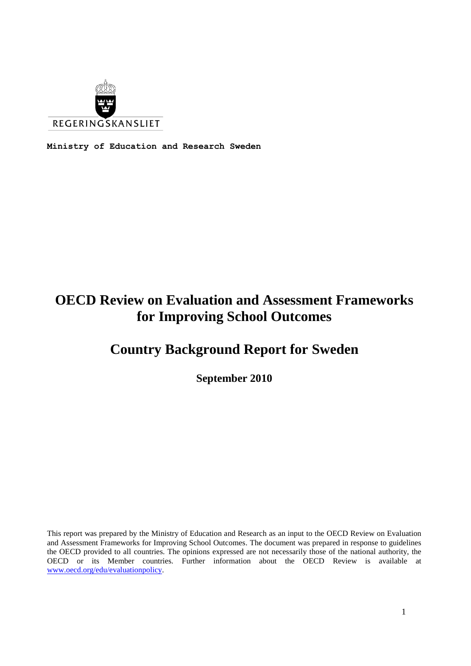

**Ministry of Education and Research Sweden**

# **OECD Review on Evaluation and Assessment Frameworks for Improving School Outcomes**

# **Country Background Report for Sweden**

**September 2010**

This report was prepared by the Ministry of Education and Research as an input to the OECD Review on Evaluation and Assessment Frameworks for Improving School Outcomes. The document was prepared in response to guidelines the OECD provided to all countries. The opinions expressed are not necessarily those of the national authority, the OECD or its Member countries. Further information about the OECD Review is available at [www.oecd.org/edu/evaluationpolicy.](http://www.oecd.org/edu/evaluationpolicy)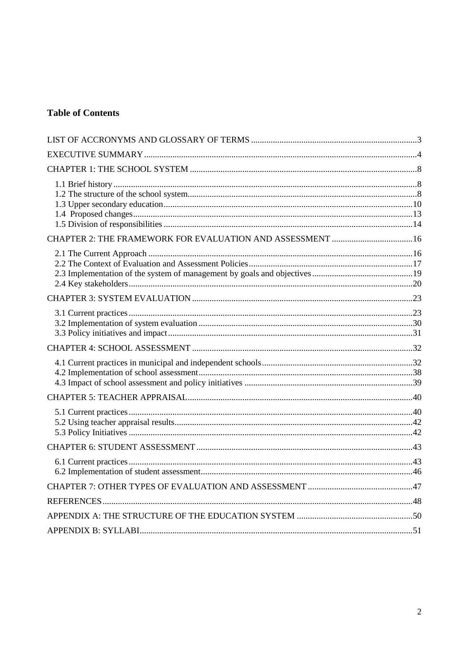# **Table of Contents**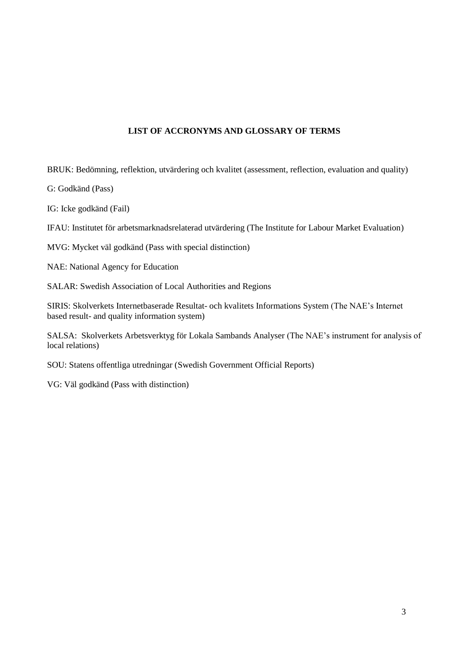# **LIST OF ACCRONYMS AND GLOSSARY OF TERMS**

<span id="page-2-0"></span>BRUK: Bedömning, reflektion, utvärdering och kvalitet (assessment, reflection, evaluation and quality)

G: Godkänd (Pass)

IG: Icke godkänd (Fail)

IFAU: Institutet för arbetsmarknadsrelaterad utvärdering (The Institute for Labour Market Evaluation)

MVG: Mycket väl godkänd (Pass with special distinction)

NAE: National Agency for Education

SALAR: Swedish Association of Local Authorities and Regions

SIRIS: Skolverkets Internetbaserade Resultat- och kvalitets Informations System (The NAE's Internet based result- and quality information system)

SALSA: Skolverkets Arbetsverktyg för Lokala Sambands Analyser (The NAE's instrument for analysis of local relations)

SOU: Statens offentliga utredningar (Swedish Government Official Reports)

VG: Väl godkänd (Pass with distinction)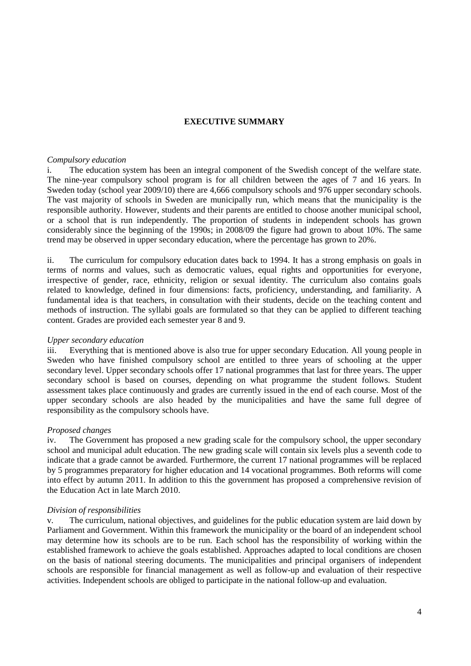# **EXECUTIVE SUMMARY**

#### <span id="page-3-0"></span>*Compulsory education*

i. The education system has been an integral component of the Swedish concept of the welfare state. The nine-year compulsory school program is for all children between the ages of 7 and 16 years. In Sweden today (school year 2009/10) there are 4,666 compulsory schools and 976 upper secondary schools. The vast majority of schools in Sweden are municipally run, which means that the municipality is the responsible authority. However, students and their parents are entitled to choose another municipal school, or a school that is run independently. The proportion of students in independent schools has grown considerably since the beginning of the 1990s; in 2008/09 the figure had grown to about 10%. The same trend may be observed in upper secondary education, where the percentage has grown to 20%.

ii. The curriculum for compulsory education dates back to 1994. It has a strong emphasis on goals in terms of norms and values, such as democratic values, equal rights and opportunities for everyone, irrespective of gender, race, ethnicity, religion or sexual identity. The curriculum also contains goals related to knowledge, defined in four dimensions: facts, proficiency, understanding, and familiarity. A fundamental idea is that teachers, in consultation with their students, decide on the teaching content and methods of instruction. The syllabi goals are formulated so that they can be applied to different teaching content. Grades are provided each semester year 8 and 9.

#### *Upper secondary education*

iii. Everything that is mentioned above is also true for upper secondary Education. All young people in Sweden who have finished compulsory school are entitled to three years of schooling at the upper secondary level. Upper secondary schools offer 17 national programmes that last for three years. The upper secondary school is based on courses, depending on what programme the student follows. Student assessment takes place continuously and grades are currently issued in the end of each course. Most of the upper secondary schools are also headed by the municipalities and have the same full degree of responsibility as the compulsory schools have.

#### *Proposed changes*

iv. The Government has proposed a new grading scale for the compulsory school, the upper secondary school and municipal adult education. The new grading scale will contain six levels plus a seventh code to indicate that a grade cannot be awarded. Furthermore, the current 17 national programmes will be replaced by 5 programmes preparatory for higher education and 14 vocational programmes. Both reforms will come into effect by autumn 2011. In addition to this the government has proposed a comprehensive revision of the Education Act in late March 2010.

#### *Division of responsibilities*

v. The curriculum, national objectives, and guidelines for the public education system are laid down by Parliament and Government. Within this framework the municipality or the board of an independent school may determine how its schools are to be run. Each school has the responsibility of working within the established framework to achieve the goals established. Approaches adapted to local conditions are chosen on the basis of national steering documents. The municipalities and principal organisers of independent schools are responsible for financial management as well as follow-up and evaluation of their respective activities. Independent schools are obliged to participate in the national follow-up and evaluation.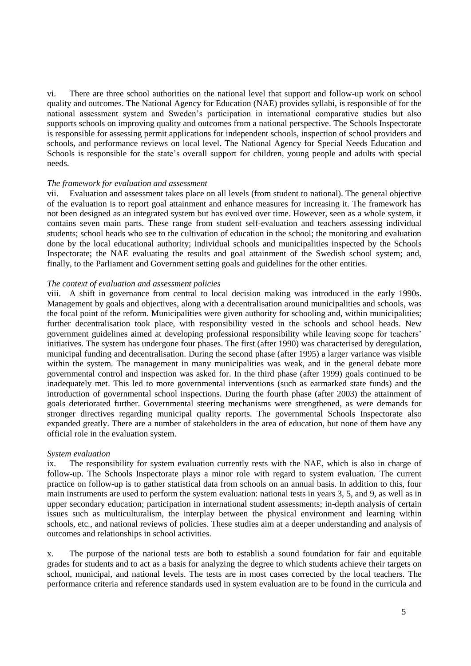vi. There are three school authorities on the national level that support and follow-up work on school quality and outcomes. The National Agency for Education (NAE) provides syllabi, is responsible of for the national assessment system and Sweden's participation in international comparative studies but also supports schools on improving quality and outcomes from a national perspective. The Schools Inspectorate is responsible for assessing permit applications for independent schools, inspection of school providers and schools, and performance reviews on local level. The National Agency for Special Needs Education and Schools is responsible for the state's overall support for children, young people and adults with special needs.

#### *The framework for evaluation and assessment*

vii. Evaluation and assessment takes place on all levels (from student to national). The general objective of the evaluation is to report goal attainment and enhance measures for increasing it. The framework has not been designed as an integrated system but has evolved over time. However, seen as a whole system, it contains seven main parts. These range from student self-evaluation and teachers assessing individual students; school heads who see to the cultivation of education in the school; the monitoring and evaluation done by the local educational authority; individual schools and municipalities inspected by the Schools Inspectorate; the NAE evaluating the results and goal attainment of the Swedish school system; and, finally, to the Parliament and Government setting goals and guidelines for the other entities.

#### *The context of evaluation and assessment policies*

viii. A shift in governance from central to local decision making was introduced in the early 1990s. Management by goals and objectives, along with a decentralisation around municipalities and schools, was the focal point of the reform. Municipalities were given authority for schooling and, within municipalities; further decentralisation took place, with responsibility vested in the schools and school heads. New government guidelines aimed at developing professional responsibility while leaving scope for teachers' initiatives. The system has undergone four phases. The first (after 1990) was characterised by deregulation, municipal funding and decentralisation. During the second phase (after 1995) a larger variance was visible within the system. The management in many municipalities was weak, and in the general debate more governmental control and inspection was asked for. In the third phase (after 1999) goals continued to be inadequately met. This led to more governmental interventions (such as earmarked state funds) and the introduction of governmental school inspections. During the fourth phase (after 2003) the attainment of goals deteriorated further. Governmental steering mechanisms were strengthened, as were demands for stronger directives regarding municipal quality reports. The governmental Schools Inspectorate also expanded greatly. There are a number of stakeholders in the area of education, but none of them have any official role in the evaluation system.

#### *System evaluation*

ix. The responsibility for system evaluation currently rests with the NAE, which is also in charge of follow-up. The Schools Inspectorate plays a minor role with regard to system evaluation. The current practice on follow-up is to gather statistical data from schools on an annual basis. In addition to this, four main instruments are used to perform the system evaluation: national tests in years 3, 5, and 9, as well as in upper secondary education; participation in international student assessments; in-depth analysis of certain issues such as multiculturalism, the interplay between the physical environment and learning within schools, etc., and national reviews of policies. These studies aim at a deeper understanding and analysis of outcomes and relationships in school activities.

x. The purpose of the national tests are both to establish a sound foundation for fair and equitable grades for students and to act as a basis for analyzing the degree to which students achieve their targets on school, municipal, and national levels. The tests are in most cases corrected by the local teachers. The performance criteria and reference standards used in system evaluation are to be found in the curricula and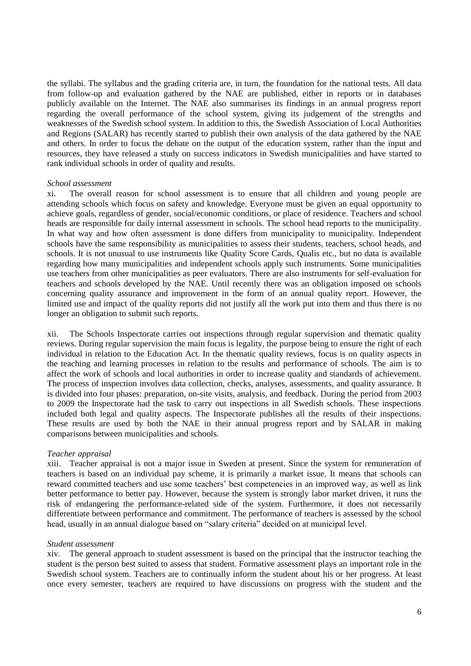the syllabi. The syllabus and the grading criteria are, in turn, the foundation for the national tests. All data from follow-up and evaluation gathered by the NAE are published, either in reports or in databases publicly available on the Internet. The NAE also summarises its findings in an annual progress report regarding the overall performance of the school system, giving its judgement of the strengths and weaknesses of the Swedish school system. In addition to this, the Swedish Association of Local Authorities and Regions (SALAR) has recently started to publish their own analysis of the data gathered by the NAE and others. In order to focus the debate on the output of the education system, rather than the input and resources, they have released a study on success indicators in Swedish municipalities and have started to rank individual schools in order of quality and results.

#### *School assessment*

xi. The overall reason for school assessment is to ensure that all children and young people are attending schools which focus on safety and knowledge. Everyone must be given an equal opportunity to achieve goals, regardless of gender, social/economic conditions, or place of residence. Teachers and school heads are responsible for daily internal assessment in schools. The school head reports to the municipality. In what way and how often assessment is done differs from municipality to municipality. Independent schools have the same responsibility as municipalities to assess their students, teachers, school heads, and schools. It is not unusual to use instruments like Quality Score Cards, Qualis etc., but no data is available regarding how many municipalities and independent schools apply such instruments. Some municipalities use teachers from other municipalities as peer evaluators. There are also instruments for self-evaluation for teachers and schools developed by the NAE. Until recently there was an obligation imposed on schools concerning quality assurance and improvement in the form of an annual quality report. However, the limited use and impact of the quality reports did not justify all the work put into them and thus there is no longer an obligation to submit such reports.

xii. The Schools Inspectorate carries out inspections through regular supervision and thematic quality reviews. During regular supervision the main focus is legality, the purpose being to ensure the right of each individual in relation to the Education Act. In the thematic quality reviews, focus is on quality aspects in the teaching and learning processes in relation to the results and performance of schools. The aim is to affect the work of schools and local authorities in order to increase quality and standards of achievement. The process of inspection involves data collection, checks, analyses, assessments, and quality assurance. It is divided into four phases: preparation, on-site visits, analysis, and feedback. During the period from 2003 to 2009 the Inspectorate had the task to carry out inspections in all Swedish schools. These inspections included both legal and quality aspects. The Inspectorate publishes all the results of their inspections. These results are used by both the NAE in their annual progress report and by SALAR in making comparisons between municipalities and schools.

#### *Teacher appraisal*

xiii. Teacher appraisal is not a major issue in Sweden at present. Since the system for remuneration of teachers is based on an individual pay scheme, it is primarily a market issue. It means that schools can reward committed teachers and use some teachers' best competencies in an improved way, as well as link better performance to better pay. However, because the system is strongly labor market driven, it runs the risk of endangering the performance-related side of the system. Furthermore, it does not necessarily differentiate between performance and commitment. The performance of teachers is assessed by the school head, usually in an annual dialogue based on "salary criteria" decided on at municipal level.

#### *Student assessment*

xiv. The general approach to student assessment is based on the principal that the instructor teaching the student is the person best suited to assess that student. Formative assessment plays an important role in the Swedish school system. Teachers are to continually inform the student about his or her progress. At least once every semester, teachers are required to have discussions on progress with the student and the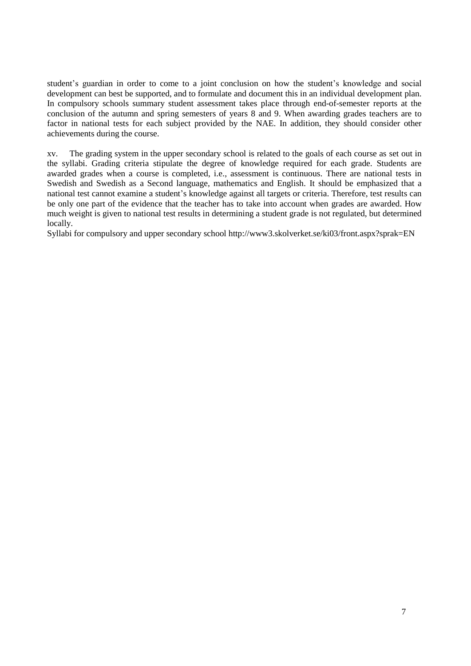student's guardian in order to come to a joint conclusion on how the student's knowledge and social development can best be supported, and to formulate and document this in an individual development plan. In compulsory schools summary student assessment takes place through end-of-semester reports at the conclusion of the autumn and spring semesters of years 8 and 9. When awarding grades teachers are to factor in national tests for each subject provided by the NAE. In addition, they should consider other achievements during the course.

xv. The grading system in the upper secondary school is related to the goals of each course as set out in the syllabi. Grading criteria stipulate the degree of knowledge required for each grade. Students are awarded grades when a course is completed, i.e., assessment is continuous. There are national tests in Swedish and Swedish as a Second language, mathematics and English. It should be emphasized that a national test cannot examine a student's knowledge against all targets or criteria. Therefore, test results can be only one part of the evidence that the teacher has to take into account when grades are awarded. How much weight is given to national test results in determining a student grade is not regulated, but determined locally.

Syllabi for compulsory and upper secondary school http://www3.skolverket.se/ki03/front.aspx?sprak=EN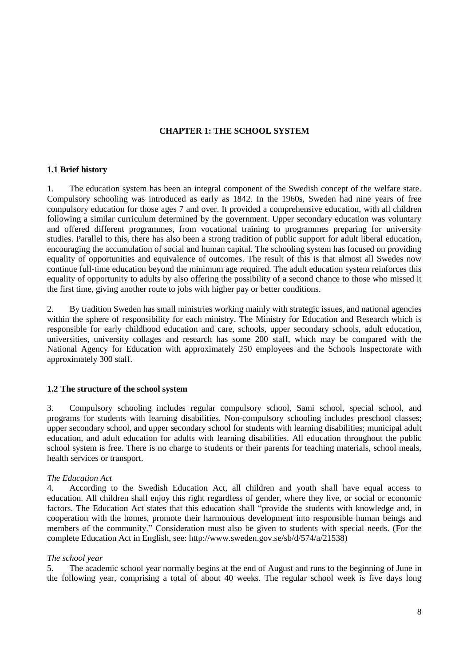# **CHAPTER 1: THE SCHOOL SYSTEM**

### <span id="page-7-1"></span><span id="page-7-0"></span>**1.1 Brief history**

1. The education system has been an integral component of the Swedish concept of the welfare state. Compulsory schooling was introduced as early as 1842. In the 1960s, Sweden had nine years of free compulsory education for those ages 7 and over. It provided a comprehensive education, with all children following a similar curriculum determined by the government. Upper secondary education was voluntary and offered different programmes, from vocational training to programmes preparing for university studies. Parallel to this, there has also been a strong tradition of public support for adult liberal education, encouraging the accumulation of social and human capital. The schooling system has focused on providing equality of opportunities and equivalence of outcomes. The result of this is that almost all Swedes now continue full-time education beyond the minimum age required. The adult education system reinforces this equality of opportunity to adults by also offering the possibility of a second chance to those who missed it the first time, giving another route to jobs with higher pay or better conditions.

2. By tradition Sweden has small ministries working mainly with strategic issues, and national agencies within the sphere of responsibility for each ministry. The Ministry for Education and Research which is responsible for early childhood education and care, schools, upper secondary schools, adult education, universities, university collages and research has some 200 staff, which may be compared with the National Agency for Education with approximately 250 employees and the Schools Inspectorate with approximately 300 staff.

# <span id="page-7-2"></span>**1.2 The structure of the school system**

3. Compulsory schooling includes regular compulsory school, Sami school, special school, and programs for students with learning disabilities. Non-compulsory schooling includes preschool classes; upper secondary school, and upper secondary school for students with learning disabilities; municipal adult education, and adult education for adults with learning disabilities. All education throughout the public school system is free. There is no charge to students or their parents for teaching materials, school meals, health services or transport.

#### *The Education Act*

4. According to the Swedish Education Act, all children and youth shall have equal access to education. All children shall enjoy this right regardless of gender, where they live, or social or economic factors. The Education Act states that this education shall "provide the students with knowledge and, in cooperation with the homes, promote their harmonious development into responsible human beings and members of the community." Consideration must also be given to students with special needs. (For the complete Education Act in English, see: http://www.sweden.gov.se/sb/d/574/a/21538)

#### *The school year*

5. The academic school year normally begins at the end of August and runs to the beginning of June in the following year, comprising a total of about 40 weeks. The regular school week is five days long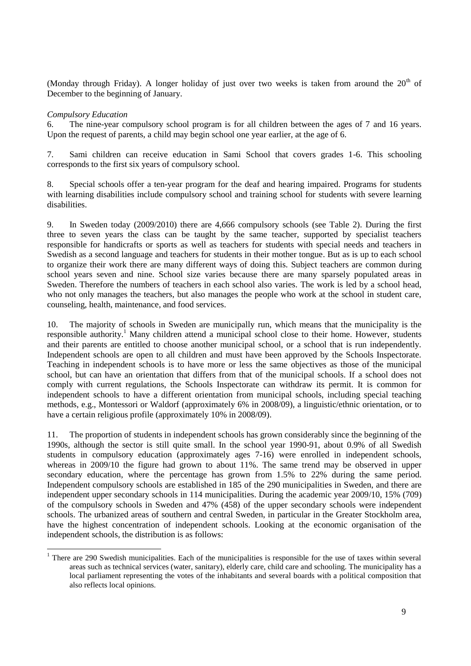(Monday through Friday). A longer holiday of just over two weeks is taken from around the  $20<sup>th</sup>$  of December to the beginning of January.

#### *Compulsory Education*

 $\overline{a}$ 

6. The nine-year compulsory school program is for all children between the ages of 7 and 16 years. Upon the request of parents, a child may begin school one year earlier, at the age of 6.

7. Sami children can receive education in Sami School that covers grades 1-6. This schooling corresponds to the first six years of compulsory school.

8. Special schools offer a ten-year program for the deaf and hearing impaired. Programs for students with learning disabilities include compulsory school and training school for students with severe learning disabilities.

9. In Sweden today (2009/2010) there are 4,666 compulsory schools (see Table 2). During the first three to seven years the class can be taught by the same teacher, supported by specialist teachers responsible for handicrafts or sports as well as teachers for students with special needs and teachers in Swedish as a second language and teachers for students in their mother tongue. But as is up to each school to organize their work there are many different ways of doing this. Subject teachers are common during school years seven and nine. School size varies because there are many sparsely populated areas in Sweden. Therefore the numbers of teachers in each school also varies. The work is led by a school head, who not only manages the teachers, but also manages the people who work at the school in student care, counseling, health, maintenance, and food services.

10. The majority of schools in Sweden are municipally run, which means that the municipality is the responsible authority.<sup>1</sup> Many children attend a municipal school close to their home. However, students and their parents are entitled to choose another municipal school, or a school that is run independently. Independent schools are open to all children and must have been approved by the Schools Inspectorate. Teaching in independent schools is to have more or less the same objectives as those of the municipal school, but can have an orientation that differs from that of the municipal schools. If a school does not comply with current regulations, the Schools Inspectorate can withdraw its permit. It is common for independent schools to have a different orientation from municipal schools, including special teaching methods, e.g., Montessori or Waldorf (approximately 6% in 2008/09), a linguistic/ethnic orientation, or to have a certain religious profile (approximately 10% in 2008/09).

11. The proportion of students in independent schools has grown considerably since the beginning of the 1990s, although the sector is still quite small. In the school year 1990-91, about 0.9% of all Swedish students in compulsory education (approximately ages 7-16) were enrolled in independent schools, whereas in 2009/10 the figure had grown to about 11%. The same trend may be observed in upper secondary education, where the percentage has grown from 1.5% to 22% during the same period. Independent compulsory schools are established in 185 of the 290 municipalities in Sweden, and there are independent upper secondary schools in 114 municipalities. During the academic year 2009/10, 15% (709) of the compulsory schools in Sweden and 47% (458) of the upper secondary schools were independent schools. The urbanized areas of southern and central Sweden, in particular in the Greater Stockholm area, have the highest concentration of independent schools. Looking at the economic organisation of the independent schools, the distribution is as follows:

<sup>&</sup>lt;sup>1</sup> There are 290 Swedish municipalities. Each of the municipalities is responsible for the use of taxes within several areas such as technical services (water, sanitary), elderly care, child care and schooling. The municipality has a local parliament representing the votes of the inhabitants and several boards with a political composition that also reflects local opinions.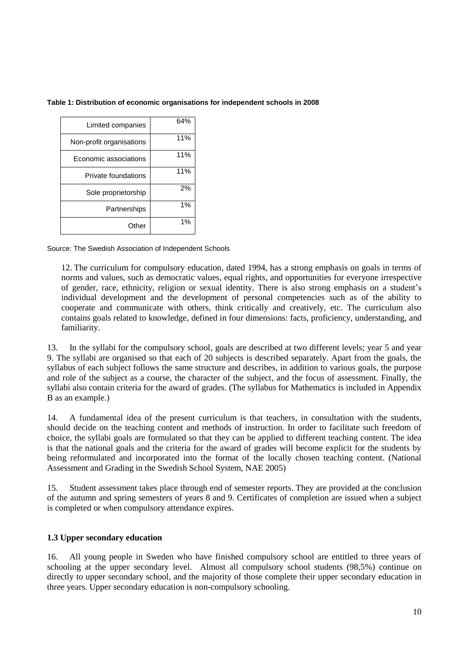#### **Table 1: Distribution of economic organisations for independent schools in 2008**

| Limited companies        | 64% |
|--------------------------|-----|
| Non-profit organisations | 11% |
| Economic associations    | 11% |
| Private foundations      | 11% |
| Sole proprietorship      | 2%  |
| Partnerships             | 1%  |
| Other                    | 1%  |

Source: The Swedish Association of Independent Schools

12. The curriculum for compulsory education, dated 1994, has a strong emphasis on goals in terms of norms and values, such as democratic values, equal rights, and opportunities for everyone irrespective of gender, race, ethnicity, religion or sexual identity. There is also strong emphasis on a student's individual development and the development of personal competencies such as of the ability to cooperate and communicate with others, think critically and creatively, etc. The curriculum also contains goals related to knowledge, defined in four dimensions: facts, proficiency, understanding, and familiarity.

13. In the syllabi for the compulsory school, goals are described at two different levels; year 5 and year 9. The syllabi are organised so that each of 20 subjects is described separately. Apart from the goals, the syllabus of each subject follows the same structure and describes, in addition to various goals, the purpose and role of the subject as a course, the character of the subject, and the focus of assessment. Finally, the syllabi also contain criteria for the award of grades. (The syllabus for Mathematics is included in Appendix B as an example.)

14. A fundamental idea of the present curriculum is that teachers, in consultation with the students, should decide on the teaching content and methods of instruction. In order to facilitate such freedom of choice, the syllabi goals are formulated so that they can be applied to different teaching content. The idea is that the national goals and the criteria for the award of grades will become explicit for the students by being reformulated and incorporated into the format of the locally chosen teaching content. (National Assessment and Grading in the Swedish School System, NAE 2005)

15. Student assessment takes place through end of semester reports. They are provided at the conclusion of the autumn and spring semesters of years 8 and 9. Certificates of completion are issued when a subject is completed or when compulsory attendance expires.

# <span id="page-9-0"></span>**1.3 Upper secondary education**

16. All young people in Sweden who have finished compulsory school are entitled to three years of schooling at the upper secondary level. Almost all compulsory school students (98,5%) continue on directly to upper secondary school, and the majority of those complete their upper secondary education in three years. Upper secondary education is non-compulsory schooling.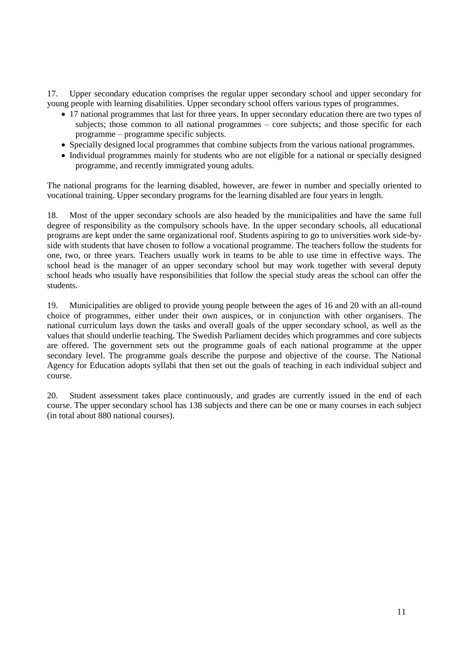17. Upper secondary education comprises the regular upper secondary school and upper secondary for young people with learning disabilities. Upper secondary school offers various types of programmes.

- 17 national programmes that last for three years. In upper secondary education there are two types of subjects; those common to all national programmes – core subjects; and those specific for each programme – programme specific subjects.
- Specially designed local programmes that combine subjects from the various national programmes.
- Individual programmes mainly for students who are not eligible for a national or specially designed programme, and recently immigrated young adults.

The national programs for the learning disabled, however, are fewer in number and specially oriented to vocational training. Upper secondary programs for the learning disabled are four years in length.

18. Most of the upper secondary schools are also headed by the municipalities and have the same full degree of responsibility as the compulsory schools have. In the upper secondary schools, all educational programs are kept under the same organizational roof. Students aspiring to go to universities work side-byside with students that have chosen to follow a vocational programme. The teachers follow the students for one, two, or three years. Teachers usually work in teams to be able to use time in effective ways. The school head is the manager of an upper secondary school but may work together with several deputy school heads who usually have responsibilities that follow the special study areas the school can offer the students.

19. Municipalities are obliged to provide young people between the ages of 16 and 20 with an all-round choice of programmes, either under their own auspices, or in conjunction with other organisers. The national curriculum lays down the tasks and overall goals of the upper secondary school, as well as the values that should underlie teaching. The Swedish Parliament decides which programmes and core subjects are offered. The government sets out the programme goals of each national programme at the upper secondary level. The programme goals describe the purpose and objective of the course. The National Agency for Education adopts syllabi that then set out the goals of teaching in each individual subject and course.

20. Student assessment takes place continuously, and grades are currently issued in the end of each course. The upper secondary school has 138 subjects and there can be one or many courses in each subject (in total about 880 national courses).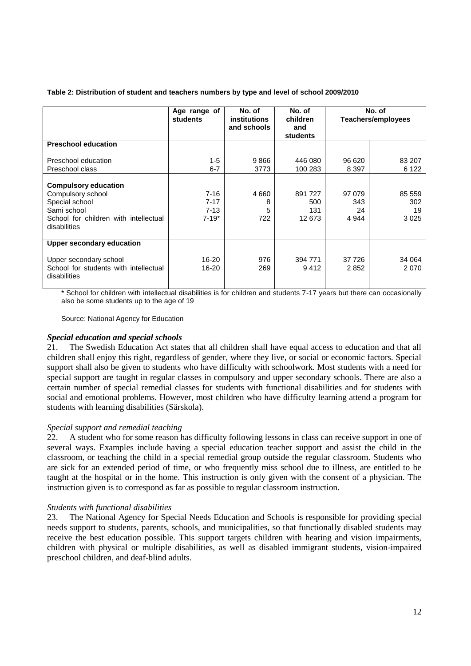|  | Table 2: Distribution of student and teachers numbers by type and level of school 2009/2010 |
|--|---------------------------------------------------------------------------------------------|
|  |                                                                                             |

|                                                       | Age range of | No. of              | No. of   |         | No. of                    |
|-------------------------------------------------------|--------------|---------------------|----------|---------|---------------------------|
|                                                       | students     | <i>institutions</i> | children |         | <b>Teachers/employees</b> |
|                                                       |              | and schools         | and      |         |                           |
|                                                       |              |                     | students |         |                           |
| <b>Preschool education</b>                            |              |                     |          |         |                           |
| Preschool education                                   | $1 - 5$      | 9866                | 446 080  | 96 620  | 83 207                    |
| Preschool class                                       | $6 - 7$      | 3773                | 100 283  | 8 3 9 7 | 6 1 2 2                   |
|                                                       |              |                     |          |         |                           |
| <b>Compulsory education</b>                           |              |                     |          |         |                           |
| Compulsory school                                     | $7 - 16$     | 4660                | 891 727  | 97 079  | 85 559                    |
| Special school                                        | $7 - 17$     | 8                   | 500      | 343     | 302                       |
| Sami school                                           | $7 - 13$     | 5                   | 131      | 24      | 19                        |
| School for children with intellectual                 | $7 - 19*$    | 722                 | 12 673   | 4 9 4 4 | 3025                      |
| disabilities                                          |              |                     |          |         |                           |
|                                                       |              |                     |          |         |                           |
| <b>Upper secondary education</b>                      |              |                     |          |         |                           |
|                                                       |              |                     |          |         |                           |
| Upper secondary school                                | $16 - 20$    | 976                 | 394 771  | 37 726  | 34 064                    |
| School for students with intellectual<br>disabilities | $16 - 20$    | 269                 | 9412     | 2852    | 2070                      |
|                                                       |              |                     |          |         |                           |

\* School for children with intellectual disabilities is for children and students 7-17 years but there can occasionally also be some students up to the age of 19

Source: National Agency for Education

# *Special education and special schools*

21. The Swedish Education Act states that all children shall have equal access to education and that all children shall enjoy this right, regardless of gender, where they live, or social or economic factors. Special support shall also be given to students who have difficulty with schoolwork. Most students with a need for special support are taught in regular classes in compulsory and upper secondary schools. There are also a certain number of special remedial classes for students with functional disabilities and for students with social and emotional problems. However, most children who have difficulty learning attend a program for students with learning disabilities (Särskola).

# *Special support and remedial teaching*

22. A student who for some reason has difficulty following lessons in class can receive support in one of several ways. Examples include having a special education teacher support and assist the child in the classroom, or teaching the child in a special remedial group outside the regular classroom. Students who are sick for an extended period of time, or who frequently miss school due to illness, are entitled to be taught at the hospital or in the home. This instruction is only given with the consent of a physician. The instruction given is to correspond as far as possible to regular classroom instruction.

# *Students with functional disabilities*

23. The National Agency for Special Needs Education and Schools is responsible for providing special needs support to students, parents, schools, and municipalities, so that functionally disabled students may receive the best education possible. This support targets children with hearing and vision impairments, children with physical or multiple disabilities, as well as disabled immigrant students, vision-impaired preschool children, and deaf-blind adults.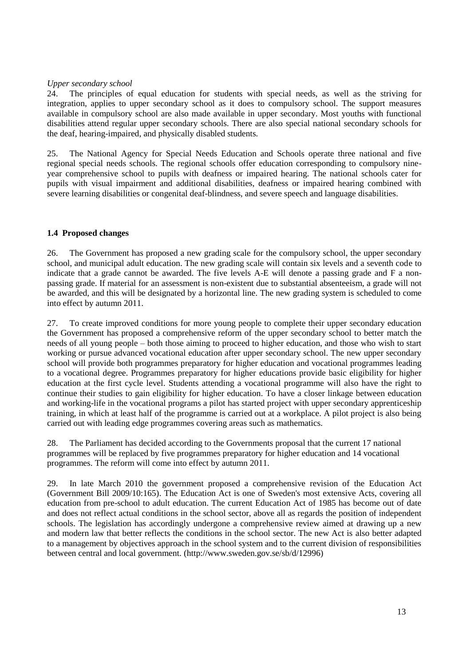# *Upper secondary school*

24. The principles of equal education for students with special needs, as well as the striving for integration, applies to upper secondary school as it does to compulsory school. The support measures available in compulsory school are also made available in upper secondary. Most youths with functional disabilities attend regular upper secondary schools. There are also special national secondary schools for the deaf, hearing-impaired, and physically disabled students.

25. The National Agency for Special Needs Education and Schools operate three national and five regional special needs schools. The regional schools offer education corresponding to compulsory nineyear comprehensive school to pupils with deafness or impaired hearing. The national schools cater for pupils with visual impairment and additional disabilities, deafness or impaired hearing combined with severe learning disabilities or congenital deaf-blindness, and severe speech and language disabilities.

# <span id="page-12-0"></span>**1.4 Proposed changes**

26. The Government has proposed a new grading scale for the compulsory school, the upper secondary school, and municipal adult education. The new grading scale will contain six levels and a seventh code to indicate that a grade cannot be awarded. The five levels A-E will denote a passing grade and F a nonpassing grade. If material for an assessment is non-existent due to substantial absenteeism, a grade will not be awarded, and this will be designated by a horizontal line. The new grading system is scheduled to come into effect by autumn 2011.

27. To create improved conditions for more young people to complete their upper secondary education the Government has proposed a comprehensive reform of the upper secondary school to better match the needs of all young people – both those aiming to proceed to higher education, and those who wish to start working or pursue advanced vocational education after upper secondary school. The new upper secondary school will provide both programmes preparatory for higher education and vocational programmes leading to a vocational degree. Programmes preparatory for higher educations provide basic eligibility for higher education at the first cycle level. Students attending a vocational programme will also have the right to continue their studies to gain eligibility for higher education. To have a closer linkage between education and working-life in the vocational programs a pilot has started project with upper secondary apprenticeship training, in which at least half of the programme is carried out at a workplace. A pilot project is also being carried out with leading edge programmes covering areas such as mathematics.

28. The Parliament has decided according to the Governments proposal that the current 17 national programmes will be replaced by five programmes preparatory for higher education and 14 vocational programmes. The reform will come into effect by autumn 2011.

29. In late March 2010 the government proposed a comprehensive revision of the Education Act (Government Bill 2009/10:165). The Education Act is one of Sweden's most extensive Acts, covering all education from pre-school to adult education. The current Education Act of 1985 has become out of date and does not reflect actual conditions in the school sector, above all as regards the position of independent schools. The legislation has accordingly undergone a comprehensive review aimed at drawing up a new and modern law that better reflects the conditions in the school sector. The new Act is also better adapted to a management by objectives approach in the school system and to the current division of responsibilities between central and local government. (http://www.sweden.gov.se/sb/d/12996)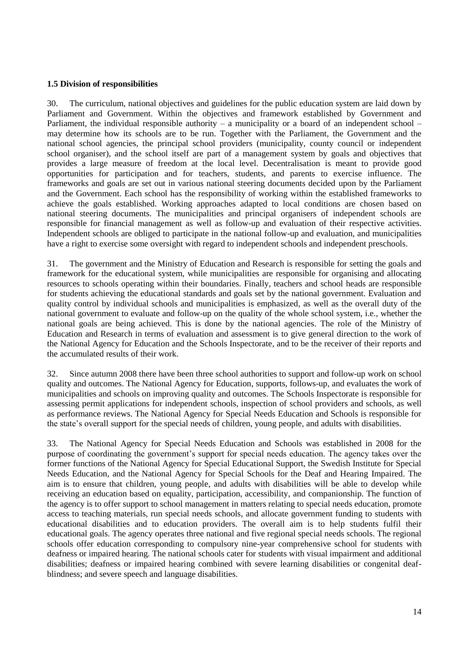# <span id="page-13-0"></span>**1.5 Division of responsibilities**

30. The curriculum, national objectives and guidelines for the public education system are laid down by Parliament and Government. Within the objectives and framework established by Government and Parliament, the individual responsible authority – a municipality or a board of an independent school – may determine how its schools are to be run. Together with the Parliament, the Government and the national school agencies, the principal school providers (municipality, county council or independent school organiser), and the school itself are part of a management system by goals and objectives that provides a large measure of freedom at the local level. Decentralisation is meant to provide good opportunities for participation and for teachers, students, and parents to exercise influence. The frameworks and goals are set out in various national steering documents decided upon by the Parliament and the Government. Each school has the responsibility of working within the established frameworks to achieve the goals established. Working approaches adapted to local conditions are chosen based on national steering documents. The municipalities and principal organisers of independent schools are responsible for financial management as well as follow-up and evaluation of their respective activities. Independent schools are obliged to participate in the national follow-up and evaluation, and municipalities have a right to exercise some oversight with regard to independent schools and independent preschools.

31. The government and the Ministry of Education and Research is responsible for setting the goals and framework for the educational system, while municipalities are responsible for organising and allocating resources to schools operating within their boundaries. Finally, teachers and school heads are responsible for students achieving the educational standards and goals set by the national government. Evaluation and quality control by individual schools and municipalities is emphasized, as well as the overall duty of the national government to evaluate and follow-up on the quality of the whole school system, i.e., whether the national goals are being achieved. This is done by the national agencies. The role of the Ministry of Education and Research in terms of evaluation and assessment is to give general direction to the work of the National Agency for Education and the Schools Inspectorate, and to be the receiver of their reports and the accumulated results of their work.

32. Since autumn 2008 there have been three school authorities to support and follow-up work on school quality and outcomes. The National Agency for Education, supports, follows-up, and evaluates the work of municipalities and schools on improving quality and outcomes. The Schools Inspectorate is responsible for assessing permit applications for independent schools, inspection of school providers and schools, as well as performance reviews. The National Agency for Special Needs Education and Schools is responsible for the state's overall support for the special needs of children, young people, and adults with disabilities.

33. The National Agency for Special Needs Education and Schools was established in 2008 for the purpose of coordinating the government's support for special needs education. The agency takes over the former functions of the National Agency for Special Educational Support, the Swedish Institute for Special Needs Education, and the National Agency for Special Schools for the Deaf and Hearing Impaired. The aim is to ensure that children, young people, and adults with disabilities will be able to develop while receiving an education based on equality, participation, accessibility, and companionship. The function of the agency is to offer support to school management in matters relating to special needs education, promote access to teaching materials, run special needs schools, and allocate government funding to students with educational disabilities and to education providers. The overall aim is to help students fulfil their educational goals. The agency operates three national and five regional special needs schools. The regional schools offer education corresponding to compulsory nine-year comprehensive school for students with deafness or impaired hearing. The national schools cater for students with visual impairment and additional disabilities; deafness or impaired hearing combined with severe learning disabilities or congenital deafblindness; and severe speech and language disabilities.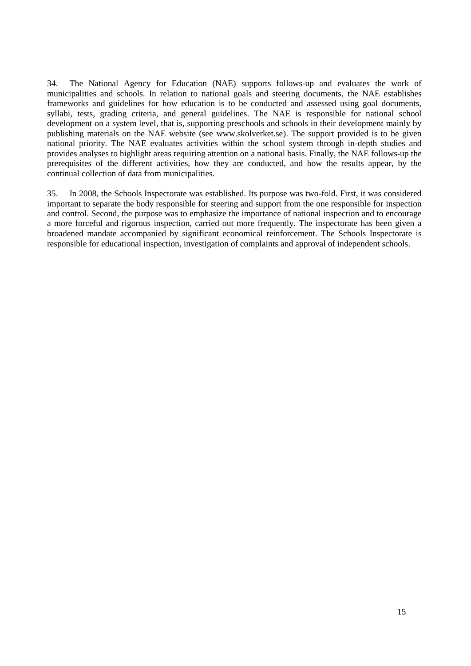34. The National Agency for Education (NAE) supports follows-up and evaluates the work of municipalities and schools. In relation to national goals and steering documents, the NAE establishes frameworks and guidelines for how education is to be conducted and assessed using goal documents, syllabi, tests, grading criteria, and general guidelines. The NAE is responsible for national school development on a system level, that is, supporting preschools and schools in their development mainly by publishing materials on the NAE website (see www.skolverket.se). The support provided is to be given national priority. The NAE evaluates activities within the school system through in-depth studies and provides analyses to highlight areas requiring attention on a national basis. Finally, the NAE follows-up the prerequisites of the different activities, how they are conducted, and how the results appear, by the continual collection of data from municipalities.

35. In 2008, the Schools Inspectorate was established. Its purpose was two-fold. First, it was considered important to separate the body responsible for steering and support from the one responsible for inspection and control. Second, the purpose was to emphasize the importance of national inspection and to encourage a more forceful and rigorous inspection, carried out more frequently. The inspectorate has been given a broadened mandate accompanied by significant economical reinforcement. The Schools Inspectorate is responsible for educational inspection, investigation of complaints and approval of independent schools.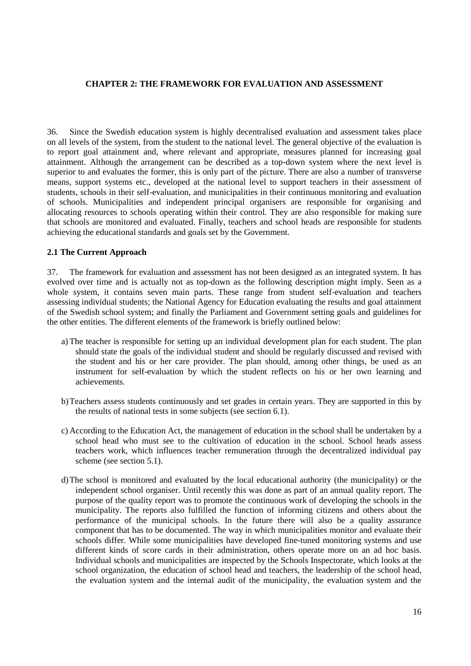# <span id="page-15-0"></span>**CHAPTER 2: THE FRAMEWORK FOR EVALUATION AND ASSESSMENT**

36. Since the Swedish education system is highly decentralised evaluation and assessment takes place on all levels of the system, from the student to the national level. The general objective of the evaluation is to report goal attainment and, where relevant and appropriate, measures planned for increasing goal attainment. Although the arrangement can be described as a top-down system where the next level is superior to and evaluates the former, this is only part of the picture. There are also a number of transverse means, support systems etc., developed at the national level to support teachers in their assessment of students, schools in their self-evaluation, and municipalities in their continuous monitoring and evaluation of schools. Municipalities and independent principal organisers are responsible for organising and allocating resources to schools operating within their control. They are also responsible for making sure that schools are monitored and evaluated. Finally, teachers and school heads are responsible for students achieving the educational standards and goals set by the Government.

#### <span id="page-15-1"></span>**2.1 The Current Approach**

37. The framework for evaluation and assessment has not been designed as an integrated system. It has evolved over time and is actually not as top-down as the following description might imply. Seen as a whole system, it contains seven main parts. These range from student self-evaluation and teachers assessing individual students; the National Agency for Education evaluating the results and goal attainment of the Swedish school system; and finally the Parliament and Government setting goals and guidelines for the other entities. The different elements of the framework is briefly outlined below:

- a) The teacher is responsible for setting up an individual development plan for each student. The plan should state the goals of the individual student and should be regularly discussed and revised with the student and his or her care provider. The plan should, among other things, be used as an instrument for self-evaluation by which the student reflects on his or her own learning and achievements.
- b)Teachers assess students continuously and set grades in certain years. They are supported in this by the results of national tests in some subjects (see section 6.1).
- c) According to the Education Act, the management of education in the school shall be undertaken by a school head who must see to the cultivation of education in the school. School heads assess teachers work, which influences teacher remuneration through the decentralized individual pay scheme (see section 5.1).
- d)The school is monitored and evaluated by the local educational authority (the municipality) or the independent school organiser. Until recently this was done as part of an annual quality report. The purpose of the quality report was to promote the continuous work of developing the schools in the municipality. The reports also fulfilled the function of informing citizens and others about the performance of the municipal schools. In the future there will also be a quality assurance component that has to be documented. The way in which municipalities monitor and evaluate their schools differ. While some municipalities have developed fine-tuned monitoring systems and use different kinds of score cards in their administration, others operate more on an ad hoc basis. Individual schools and municipalities are inspected by the Schools Inspectorate, which looks at the school organization, the education of school head and teachers, the leadership of the school head, the evaluation system and the internal audit of the municipality, the evaluation system and the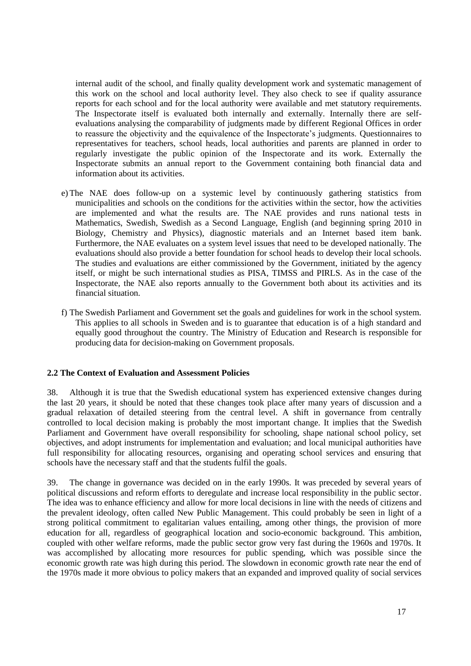internal audit of the school, and finally quality development work and systematic management of this work on the school and local authority level. They also check to see if quality assurance reports for each school and for the local authority were available and met statutory requirements. The Inspectorate itself is evaluated both internally and externally. Internally there are selfevaluations analysing the comparability of judgments made by different Regional Offices in order to reassure the objectivity and the equivalence of the Inspectorate's judgments. Questionnaires to representatives for teachers, school heads, local authorities and parents are planned in order to regularly investigate the public opinion of the Inspectorate and its work. Externally the Inspectorate submits an annual report to the Government containing both financial data and information about its activities.

- e) The NAE does follow-up on a systemic level by continuously gathering statistics from municipalities and schools on the conditions for the activities within the sector, how the activities are implemented and what the results are. The NAE provides and runs national tests in Mathematics, Swedish, Swedish as a Second Language, English (and beginning spring 2010 in Biology, Chemistry and Physics), diagnostic materials and an Internet based item bank. Furthermore, the NAE evaluates on a system level issues that need to be developed nationally. The evaluations should also provide a better foundation for school heads to develop their local schools. The studies and evaluations are either commissioned by the Government, initiated by the agency itself, or might be such international studies as PISA, TIMSS and PIRLS. As in the case of the Inspectorate, the NAE also reports annually to the Government both about its activities and its financial situation.
- f) The Swedish Parliament and Government set the goals and guidelines for work in the school system. This applies to all schools in Sweden and is to guarantee that education is of a high standard and equally good throughout the country. The Ministry of Education and Research is responsible for producing data for decision-making on Government proposals.

# <span id="page-16-0"></span>**2.2 The Context of Evaluation and Assessment Policies**

38. Although it is true that the Swedish educational system has experienced extensive changes during the last 20 years, it should be noted that these changes took place after many years of discussion and a gradual relaxation of detailed steering from the central level. A shift in governance from centrally controlled to local decision making is probably the most important change. It implies that the Swedish Parliament and Government have overall responsibility for schooling, shape national school policy, set objectives, and adopt instruments for implementation and evaluation; and local municipal authorities have full responsibility for allocating resources, organising and operating school services and ensuring that schools have the necessary staff and that the students fulfil the goals.

39. The change in governance was decided on in the early 1990s. It was preceded by several years of political discussions and reform efforts to deregulate and increase local responsibility in the public sector. The idea was to enhance efficiency and allow for more local decisions in line with the needs of citizens and the prevalent ideology, often called New Public Management. This could probably be seen in light of a strong political commitment to egalitarian values entailing, among other things, the provision of more education for all, regardless of geographical location and socio-economic background. This ambition, coupled with other welfare reforms, made the public sector grow very fast during the 1960s and 1970s. It was accomplished by allocating more resources for public spending, which was possible since the economic growth rate was high during this period. The slowdown in economic growth rate near the end of the 1970s made it more obvious to policy makers that an expanded and improved quality of social services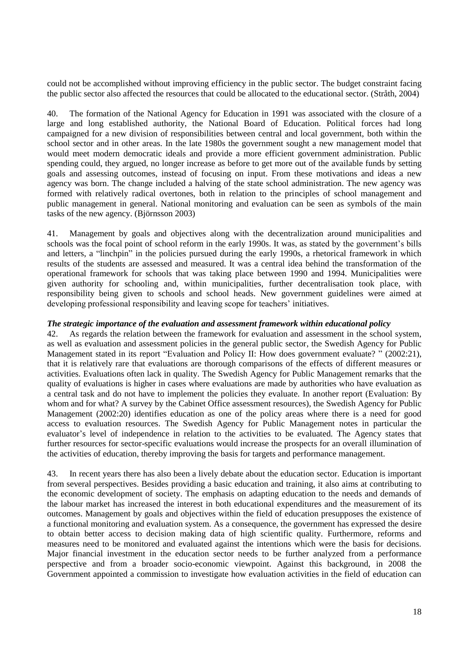could not be accomplished without improving efficiency in the public sector. The budget constraint facing the public sector also affected the resources that could be allocated to the educational sector. (Stråth, 2004)

40. The formation of the National Agency for Education in 1991 was associated with the closure of a large and long established authority, the National Board of Education. Political forces had long campaigned for a new division of responsibilities between central and local government, both within the school sector and in other areas. In the late 1980s the government sought a new management model that would meet modern democratic ideals and provide a more efficient government administration. Public spending could, they argued, no longer increase as before to get more out of the available funds by setting goals and assessing outcomes, instead of focusing on input. From these motivations and ideas a new agency was born. The change included a halving of the state school administration. The new agency was formed with relatively radical overtones, both in relation to the principles of school management and public management in general. National monitoring and evaluation can be seen as symbols of the main tasks of the new agency. (Björnsson 2003)

41. Management by goals and objectives along with the decentralization around municipalities and schools was the focal point of school reform in the early 1990s. It was, as stated by the government's bills and letters, a "linchpin" in the policies pursued during the early 1990s, a rhetorical framework in which results of the students are assessed and measured. It was a central idea behind the transformation of the operational framework for schools that was taking place between 1990 and 1994. Municipalities were given authority for schooling and, within municipalities, further decentralisation took place, with responsibility being given to schools and school heads. New government guidelines were aimed at developing professional responsibility and leaving scope for teachers' initiatives.

### *The strategic importance of the evaluation and assessment framework within educational policy*

42. As regards the relation between the framework for evaluation and assessment in the school system, as well as evaluation and assessment policies in the general public sector, the Swedish Agency for Public Management stated in its report "Evaluation and Policy II: How does government evaluate? " (2002:21), that it is relatively rare that evaluations are thorough comparisons of the effects of different measures or activities. Evaluations often lack in quality. The Swedish Agency for Public Management remarks that the quality of evaluations is higher in cases where evaluations are made by authorities who have evaluation as a central task and do not have to implement the policies they evaluate. In another report (Evaluation: By whom and for what? A survey by the Cabinet Office assessment resources), the Swedish Agency for Public Management (2002:20) identifies education as one of the policy areas where there is a need for good access to evaluation resources. The Swedish Agency for Public Management notes in particular the evaluator's level of independence in relation to the activities to be evaluated. The Agency states that further resources for sector-specific evaluations would increase the prospects for an overall illumination of the activities of education, thereby improving the basis for targets and performance management.

43. In recent years there has also been a lively debate about the education sector. Education is important from several perspectives. Besides providing a basic education and training, it also aims at contributing to the economic development of society. The emphasis on adapting education to the needs and demands of the labour market has increased the interest in both educational expenditures and the measurement of its outcomes. Management by goals and objectives within the field of education presupposes the existence of a functional monitoring and evaluation system. As a consequence, the government has expressed the desire to obtain better access to decision making data of high scientific quality. Furthermore, reforms and measures need to be monitored and evaluated against the intentions which were the basis for decisions. Major financial investment in the education sector needs to be further analyzed from a performance perspective and from a broader socio-economic viewpoint. Against this background, in 2008 the Government appointed a commission to investigate how evaluation activities in the field of education can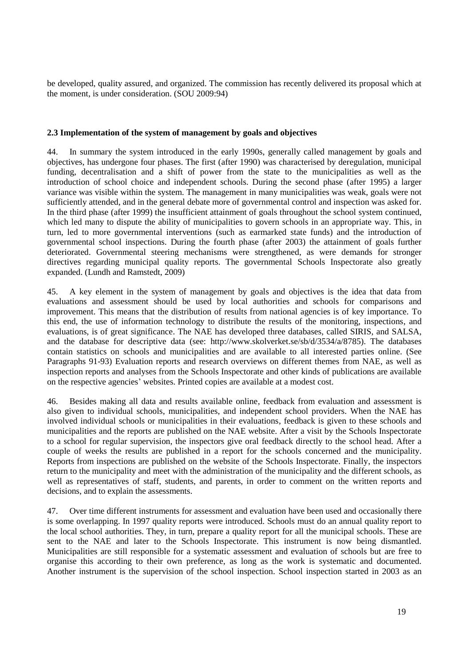be developed, quality assured, and organized. The commission has recently delivered its proposal which at the moment, is under consideration. (SOU 2009:94)

### <span id="page-18-0"></span>**2.3 Implementation of the system of management by goals and objectives**

44. In summary the system introduced in the early 1990s, generally called management by goals and objectives, has undergone four phases. The first (after 1990) was characterised by deregulation, municipal funding, decentralisation and a shift of power from the state to the municipalities as well as the introduction of school choice and independent schools. During the second phase (after 1995) a larger variance was visible within the system. The management in many municipalities was weak, goals were not sufficiently attended, and in the general debate more of governmental control and inspection was asked for. In the third phase (after 1999) the insufficient attainment of goals throughout the school system continued, which led many to dispute the ability of municipalities to govern schools in an appropriate way. This, in turn, led to more governmental interventions (such as earmarked state funds) and the introduction of governmental school inspections. During the fourth phase (after 2003) the attainment of goals further deteriorated. Governmental steering mechanisms were strengthened, as were demands for stronger directives regarding municipal quality reports. The governmental Schools Inspectorate also greatly expanded. (Lundh and Ramstedt, 2009)

45. A key element in the system of management by goals and objectives is the idea that data from evaluations and assessment should be used by local authorities and schools for comparisons and improvement. This means that the distribution of results from national agencies is of key importance. To this end, the use of information technology to distribute the results of the monitoring, inspections, and evaluations, is of great significance. The NAE has developed three databases, called SIRIS, and SALSA, and the database for descriptive data (see: http://www.skolverket.se/sb/d/3534/a/8785). The databases contain statistics on schools and municipalities and are available to all interested parties online. (See Paragraphs 91-93) Evaluation reports and research overviews on different themes from NAE, as well as inspection reports and analyses from the Schools Inspectorate and other kinds of publications are available on the respective agencies' websites. Printed copies are available at a modest cost.

46. Besides making all data and results available online, feedback from evaluation and assessment is also given to individual schools, municipalities, and independent school providers. When the NAE has involved individual schools or municipalities in their evaluations, feedback is given to these schools and municipalities and the reports are published on the NAE website. After a visit by the Schools Inspectorate to a school for regular supervision, the inspectors give oral feedback directly to the school head. After a couple of weeks the results are published in a report for the schools concerned and the municipality. Reports from inspections are published on the website of the Schools Inspectorate. Finally, the inspectors return to the municipality and meet with the administration of the municipality and the different schools, as well as representatives of staff, students, and parents, in order to comment on the written reports and decisions, and to explain the assessments.

47. Over time different instruments for assessment and evaluation have been used and occasionally there is some overlapping. In 1997 quality reports were introduced. Schools must do an annual quality report to the local school authorities. They, in turn, prepare a quality report for all the municipal schools. These are sent to the NAE and later to the Schools Inspectorate. This instrument is now being dismantled. Municipalities are still responsible for a systematic assessment and evaluation of schools but are free to organise this according to their own preference, as long as the work is systematic and documented. Another instrument is the supervision of the school inspection. School inspection started in 2003 as an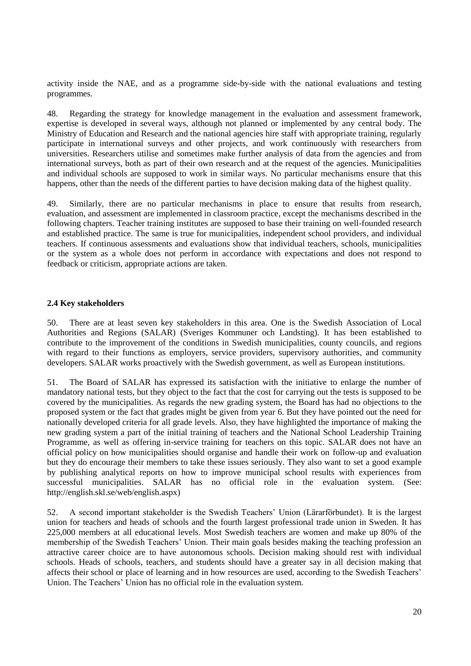activity inside the NAE, and as a programme side-by-side with the national evaluations and testing programmes.

48. Regarding the strategy for knowledge management in the evaluation and assessment framework, expertise is developed in several ways, although not planned or implemented by any central body. The Ministry of Education and Research and the national agencies hire staff with appropriate training, regularly participate in international surveys and other projects, and work continuously with researchers from universities. Researchers utilise and sometimes make further analysis of data from the agencies and from international surveys, both as part of their own research and at the request of the agencies. Municipalities and individual schools are supposed to work in similar ways. No particular mechanisms ensure that this happens, other than the needs of the different parties to have decision making data of the highest quality.

49. Similarly, there are no particular mechanisms in place to ensure that results from research, evaluation, and assessment are implemented in classroom practice, except the mechanisms described in the following chapters. Teacher training institutes are supposed to base their training on well-founded research and established practice. The same is true for municipalities, independent school providers, and individual teachers. If continuous assessments and evaluations show that individual teachers, schools, municipalities or the system as a whole does not perform in accordance with expectations and does not respond to feedback or criticism, appropriate actions are taken.

### <span id="page-19-0"></span>**2.4 Key stakeholders**

50. There are at least seven key stakeholders in this area. One is the Swedish Association of Local Authorities and Regions (SALAR) (Sveriges Kommuner och Landsting). It has been established to contribute to the improvement of the conditions in Swedish municipalities, county councils, and regions with regard to their functions as employers, service providers, supervisory authorities, and community developers. SALAR works proactively with the Swedish government, as well as European institutions.

51. The Board of SALAR has expressed its satisfaction with the initiative to enlarge the number of mandatory national tests, but they object to the fact that the cost for carrying out the tests is supposed to be covered by the municipalities. As regards the new grading system, the Board has had no objections to the proposed system or the fact that grades might be given from year 6. But they have pointed out the need for nationally developed criteria for all grade levels. Also, they have highlighted the importance of making the new grading system a part of the initial training of teachers and the National School Leadership Training Programme, as well as offering in-service training for teachers on this topic. SALAR does not have an official policy on how municipalities should organise and handle their work on follow-up and evaluation but they do encourage their members to take these issues seriously. They also want to set a good example by publishing analytical reports on how to improve municipal school results with experiences from successful municipalities. SALAR has no official role in the evaluation system. (See: http://english.skl.se/web/english.aspx)

52. A second important stakeholder is the Swedish Teachers' Union (Lärarförbundet). It is the largest union for teachers and heads of schools and the fourth largest professional trade union in Sweden. It has 225,000 members at all educational levels. Most Swedish teachers are women and make up 80% of the membership of the Swedish Teachers' Union. Their main goals besides making the teaching profession an attractive career choice are to have autonomous schools. Decision making should rest with individual schools. Heads of schools, teachers, and students should have a greater say in all decision making that affects their school or place of learning and in how resources are used, according to the Swedish Teachers' Union. The Teachers' Union has no official role in the evaluation system.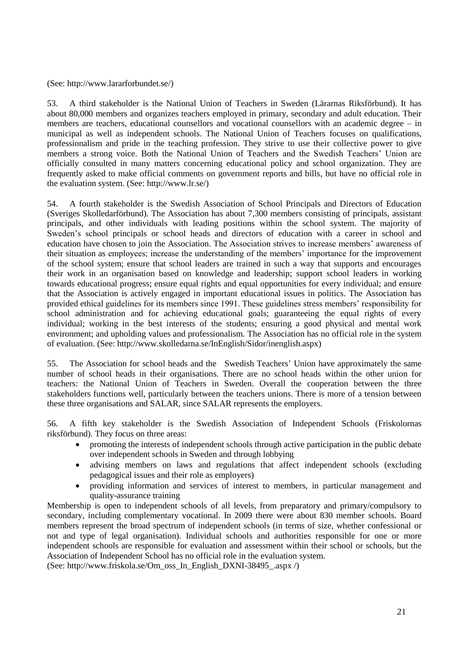(See: http://www.lararforbundet.se/)

53. A third stakeholder is the National Union of Teachers in Sweden (Lärarnas Riksförbund). It has about 80,000 members and organizes teachers employed in primary, secondary and adult education. Their members are teachers, educational counsellors and vocational counsellors with an academic degree – in municipal as well as independent schools. The National Union of Teachers focuses on qualifications, professionalism and pride in the teaching profession. They strive to use their collective power to give members a strong voice. Both the National Union of Teachers and the Swedish Teachers' Union are officially consulted in many matters concerning educational policy and school organization. They are frequently asked to make official comments on government reports and bills, but have no official role in the evaluation system. (See: http://www.lr.se/)

54. A fourth stakeholder is the Swedish Association of School Principals and Directors of Education (Sveriges Skolledarförbund). The Association has about 7,300 members consisting of principals, assistant principals, and other individuals with leading positions within the school system. The majority of Sweden's school principals or school heads and directors of education with a career in school and education have chosen to join the Association. The Association strives to increase members' awareness of their situation as employees; increase the understanding of the members' importance for the improvement of the school system; ensure that school leaders are trained in such a way that supports and encourages their work in an organisation based on knowledge and leadership; support school leaders in working towards educational progress; ensure equal rights and equal opportunities for every individual; and ensure that the Association is actively engaged in important educational issues in politics. The Association has provided ethical guidelines for its members since 1991. These guidelines stress members' responsibility for school administration and for achieving educational goals; guaranteeing the equal rights of every individual; working in the best interests of the students; ensuring a good physical and mental work environment; and upholding values and professionalism. The Association has no official role in the system of evaluation. (See: http://www.skolledarna.se/InEnglish/Sidor/inenglish.aspx)

55. The Association for school heads and the Swedish Teachers' Union have approximately the same number of school heads in their organisations. There are no school heads within the other union for teachers: the National Union of Teachers in Sweden. Overall the cooperation between the three stakeholders functions well, particularly between the teachers unions. There is more of a tension between these three organisations and SALAR, since SALAR represents the employers.

56. A fifth key stakeholder is the Swedish Association of Independent Schools (Friskolornas riksförbund). They focus on three areas:

- promoting the interests of independent schools through active participation in the public debate over independent schools in Sweden and through lobbying
- advising members on laws and regulations that affect independent schools (excluding pedagogical issues and their role as employers)
- providing information and services of interest to members, in particular management and quality-assurance training

Membership is open to independent schools of all levels, from preparatory and primary/compulsory to secondary, including complementary vocational. In 2009 there were about 830 member schools. Board members represent the broad spectrum of independent schools (in terms of size, whether confessional or not and type of legal organisation). Individual schools and authorities responsible for one or more independent schools are responsible for evaluation and assessment within their school or schools, but the Association of Independent School has no official role in the evaluation system.

(See: http://www.friskola.se/Om\_oss\_In\_English\_DXNI-38495\_.aspx /)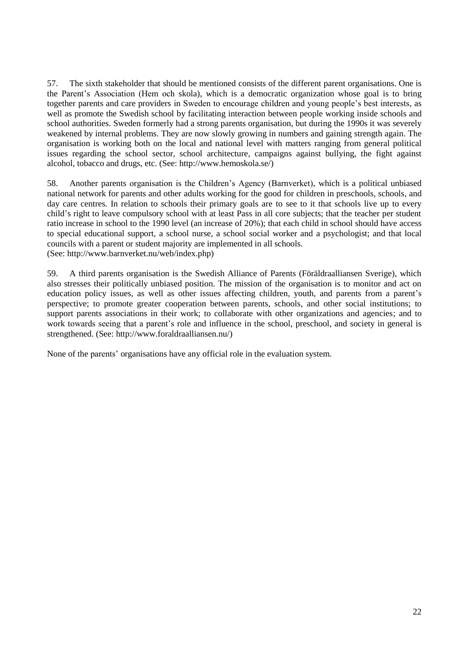57. The sixth stakeholder that should be mentioned consists of the different parent organisations. One is the Parent's Association (Hem och skola), which is a democratic organization whose goal is to bring together parents and care providers in Sweden to encourage children and young people's best interests, as well as promote the Swedish school by facilitating interaction between people working inside schools and school authorities. Sweden formerly had a strong parents organisation, but during the 1990s it was severely weakened by internal problems. They are now slowly growing in numbers and gaining strength again. The organisation is working both on the local and national level with matters ranging from general political issues regarding the school sector, school architecture, campaigns against bullying, the fight against alcohol, tobacco and drugs, etc. (See: http://www.hemoskola.se/)

58. Another parents organisation is the Children's Agency (Barnverket), which is a political unbiased national network for parents and other adults working for the good for children in preschools, schools, and day care centres. In relation to schools their primary goals are to see to it that schools live up to every child's right to leave compulsory school with at least Pass in all core subjects; that the teacher per student ratio increase in school to the 1990 level (an increase of 20%); that each child in school should have access to special educational support, a school nurse, a school social worker and a psychologist; and that local councils with a parent or student majority are implemented in all schools. (See: http://www.barnverket.nu/web/index.php)

59. A third parents organisation is the Swedish Alliance of Parents (Föräldraalliansen Sverige), which also stresses their politically unbiased position. The mission of the organisation is to monitor and act on education policy issues, as well as other issues affecting children, youth, and parents from a parent's perspective; to promote greater cooperation between parents, schools, and other social institutions; to support parents associations in their work; to collaborate with other organizations and agencies; and to work towards seeing that a parent's role and influence in the school, preschool, and society in general is strengthened. (See: http://www.foraldraalliansen.nu/)

None of the parents' organisations have any official role in the evaluation system.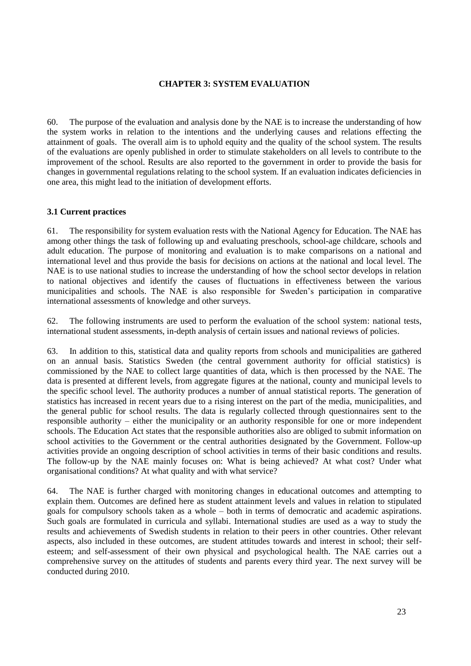# **CHAPTER 3: SYSTEM EVALUATION**

<span id="page-22-0"></span>60. The purpose of the evaluation and analysis done by the NAE is to increase the understanding of how the system works in relation to the intentions and the underlying causes and relations effecting the attainment of goals. The overall aim is to uphold equity and the quality of the school system. The results of the evaluations are openly published in order to stimulate stakeholders on all levels to contribute to the improvement of the school. Results are also reported to the government in order to provide the basis for changes in governmental regulations relating to the school system. If an evaluation indicates deficiencies in one area, this might lead to the initiation of development efforts.

# <span id="page-22-1"></span>**3.1 Current practices**

61. The responsibility for system evaluation rests with the National Agency for Education. The NAE has among other things the task of following up and evaluating preschools, school-age childcare, schools and adult education. The purpose of monitoring and evaluation is to make comparisons on a national and international level and thus provide the basis for decisions on actions at the national and local level. The NAE is to use national studies to increase the understanding of how the school sector develops in relation to national objectives and identify the causes of fluctuations in effectiveness between the various municipalities and schools. The NAE is also responsible for Sweden's participation in comparative international assessments of knowledge and other surveys.

62. The following instruments are used to perform the evaluation of the school system: national tests, international student assessments, in-depth analysis of certain issues and national reviews of policies.

63. In addition to this, statistical data and quality reports from schools and municipalities are gathered on an annual basis. Statistics Sweden (the central government authority for official statistics) is commissioned by the NAE to collect large quantities of data, which is then processed by the NAE. The data is presented at different levels, from aggregate figures at the national, county and municipal levels to the specific school level. The authority produces a number of annual statistical reports. The generation of statistics has increased in recent years due to a rising interest on the part of the media, municipalities, and the general public for school results. The data is regularly collected through questionnaires sent to the responsible authority – either the municipality or an authority responsible for one or more independent schools. The Education Act states that the responsible authorities also are obliged to submit information on school activities to the Government or the central authorities designated by the Government. Follow-up activities provide an ongoing description of school activities in terms of their basic conditions and results. The follow-up by the NAE mainly focuses on: What is being achieved? At what cost? Under what organisational conditions? At what quality and with what service?

64. The NAE is further charged with monitoring changes in educational outcomes and attempting to explain them. Outcomes are defined here as student attainment levels and values in relation to stipulated goals for compulsory schools taken as a whole – both in terms of democratic and academic aspirations. Such goals are formulated in curricula and syllabi. International studies are used as a way to study the results and achievements of Swedish students in relation to their peers in other countries. Other relevant aspects, also included in these outcomes, are student attitudes towards and interest in school; their selfesteem; and self-assessment of their own physical and psychological health. The NAE carries out a comprehensive survey on the attitudes of students and parents every third year. The next survey will be conducted during 2010.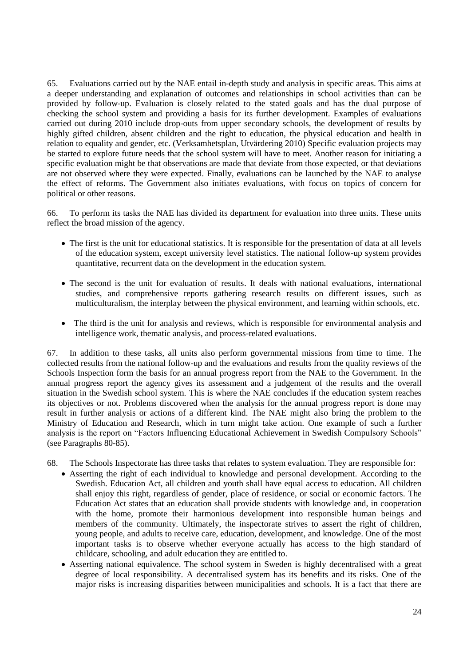65. Evaluations carried out by the NAE entail in-depth study and analysis in specific areas. This aims at a deeper understanding and explanation of outcomes and relationships in school activities than can be provided by follow-up. Evaluation is closely related to the stated goals and has the dual purpose of checking the school system and providing a basis for its further development. Examples of evaluations carried out during 2010 include drop-outs from upper secondary schools, the development of results by highly gifted children, absent children and the right to education, the physical education and health in relation to equality and gender, etc. (Verksamhetsplan, Utvärdering 2010) Specific evaluation projects may be started to explore future needs that the school system will have to meet. Another reason for initiating a specific evaluation might be that observations are made that deviate from those expected, or that deviations are not observed where they were expected. Finally, evaluations can be launched by the NAE to analyse the effect of reforms. The Government also initiates evaluations, with focus on topics of concern for political or other reasons.

66. To perform its tasks the NAE has divided its department for evaluation into three units. These units reflect the broad mission of the agency.

- The first is the unit for educational statistics. It is responsible for the presentation of data at all levels of the education system, except university level statistics. The national follow-up system provides quantitative, recurrent data on the development in the education system.
- The second is the unit for evaluation of results. It deals with national evaluations, international studies, and comprehensive reports gathering research results on different issues, such as multiculturalism, the interplay between the physical environment, and learning within schools, etc.
- The third is the unit for analysis and reviews, which is responsible for environmental analysis and intelligence work, thematic analysis, and process-related evaluations.

67. In addition to these tasks, all units also perform governmental missions from time to time. The collected results from the national follow-up and the evaluations and results from the quality reviews of the Schools Inspection form the basis for an annual progress report from the NAE to the Government. In the annual progress report the agency gives its assessment and a judgement of the results and the overall situation in the Swedish school system. This is where the NAE concludes if the education system reaches its objectives or not. Problems discovered when the analysis for the annual progress report is done may result in further analysis or actions of a different kind. The NAE might also bring the problem to the Ministry of Education and Research, which in turn might take action. One example of such a further analysis is the report on "Factors Influencing Educational Achievement in Swedish Compulsory Schools" (see Paragraphs 80-85).

- 68. The Schools Inspectorate has three tasks that relates to system evaluation. They are responsible for:
	- Asserting the right of each individual to knowledge and personal development. According to the Swedish. Education Act, all children and youth shall have equal access to education. All children shall enjoy this right, regardless of gender, place of residence, or social or economic factors. The Education Act states that an education shall provide students with knowledge and, in cooperation with the home, promote their harmonious development into responsible human beings and members of the community. Ultimately, the inspectorate strives to assert the right of children, young people, and adults to receive care, education, development, and knowledge. One of the most important tasks is to observe whether everyone actually has access to the high standard of childcare, schooling, and adult education they are entitled to.
	- Asserting national equivalence. The school system in Sweden is highly decentralised with a great degree of local responsibility. A decentralised system has its benefits and its risks. One of the major risks is increasing disparities between municipalities and schools. It is a fact that there are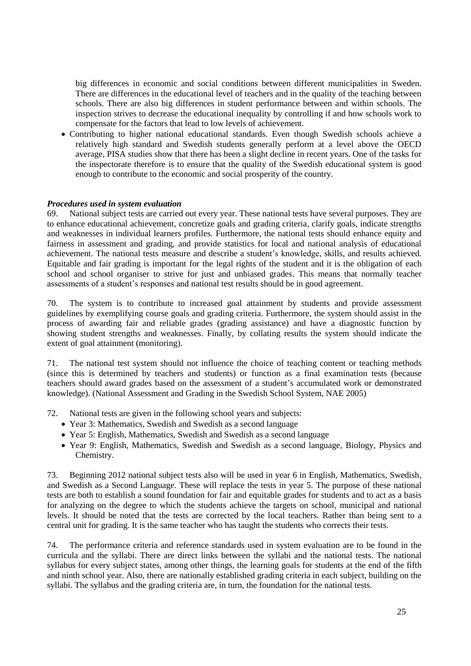big differences in economic and social conditions between different municipalities in Sweden. There are differences in the educational level of teachers and in the quality of the teaching between schools. There are also big differences in student performance between and within schools. The inspection strives to decrease the educational inequality by controlling if and how schools work to compensate for the factors that lead to low levels of achievement.

 Contributing to higher national educational standards. Even though Swedish schools achieve a relatively high standard and Swedish students generally perform at a level above the OECD average, PISA studies show that there has been a slight decline in recent years. One of the tasks for the inspectorate therefore is to ensure that the quality of the Swedish educational system is good enough to contribute to the economic and social prosperity of the country.

### *Procedures used in system evaluation*

69. National subject tests are carried out every year. These national tests have several purposes. They are to enhance educational achievement, concretize goals and grading criteria, clarify goals, indicate strengths and weaknesses in individual learners profiles. Furthermore, the national tests should enhance equity and fairness in assessment and grading, and provide statistics for local and national analysis of educational achievement. The national tests measure and describe a student's knowledge, skills, and results achieved. Equitable and fair grading is important for the legal rights of the student and it is the obligation of each school and school organiser to strive for just and unbiased grades. This means that normally teacher assessments of a student's responses and national test results should be in good agreement.

70. The system is to contribute to increased goal attainment by students and provide assessment guidelines by exemplifying course goals and grading criteria. Furthermore, the system should assist in the process of awarding fair and reliable grades (grading assistance) and have a diagnostic function by showing student strengths and weaknesses. Finally, by collating results the system should indicate the extent of goal attainment (monitoring).

71. The national test system should not influence the choice of teaching content or teaching methods (since this is determined by teachers and students) or function as a final examination tests (because teachers should award grades based on the assessment of a student's accumulated work or demonstrated knowledge). (National Assessment and Grading in the Swedish School System, NAE 2005)

- 72. National tests are given in the following school years and subjects:
	- Year 3: Mathematics, Swedish and Swedish as a second language
	- Year 5: English, Mathematics, Swedish and Swedish as a second language
	- Year 9: English, Mathematics, Swedish and Swedish as a second language, Biology, Physics and Chemistry.

73. Beginning 2012 national subject tests also will be used in year 6 in English, Mathematics, Swedish, and Swedish as a Second Language. These will replace the tests in year 5. The purpose of these national tests are both to establish a sound foundation for fair and equitable grades for students and to act as a basis for analyzing on the degree to which the students achieve the targets on school, municipal and national levels. It should be noted that the tests are corrected by the local teachers. Rather than being sent to a central unit for grading. It is the same teacher who has taught the students who corrects their tests.

74. The performance criteria and reference standards used in system evaluation are to be found in the curricula and the syllabi. There are direct links between the syllabi and the national tests. The national syllabus for every subject states, among other things, the learning goals for students at the end of the fifth and ninth school year. Also, there are nationally established grading criteria in each subject, building on the syllabi. The syllabus and the grading criteria are, in turn, the foundation for the national tests.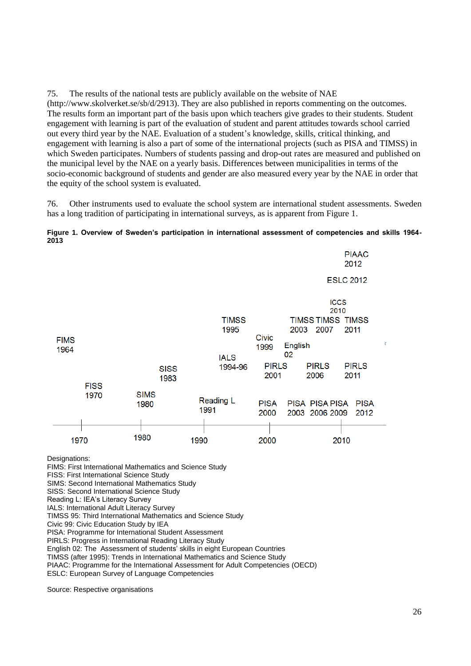75. The results of the national tests are publicly available on the website of NAE (http://www.skolverket.se/sb/d/2913). They are also published in reports commenting on the outcomes. The results form an important part of the basis upon which teachers give grades to their students. Student engagement with learning is part of the evaluation of student and parent attitudes towards school carried out every third year by the NAE. Evaluation of a student's knowledge, skills, critical thinking, and engagement with learning is also a part of some of the international projects (such as PISA and TIMSS) in which Sweden participates. Numbers of students passing and drop-out rates are measured and published on the municipal level by the NAE on a yearly basis. Differences between municipalities in terms of the socio-economic background of students and gender are also measured every year by the NAE in order that the equity of the school system is evaluated.

76. Other instruments used to evaluate the school system are international student assessments. Sweden has a long tradition of participating in international surveys, as is apparent from Figure 1.

#### **PIAAC** 2012 **ESLC 2012 ICCS** 2010 **TIMSS TIMSS TIMSS TIMSS** 1995 2003 2007 2011 **Civic FIMS** F. English 1999 1964 02 **IALS PIRLS** 1994-96 **PIRLS PIRLS SISS** 2001 2006 2011 1983 **FISS** 1970 **SIMS Reading L PISA** PISA PISA PISA PISA 1980 1991 2000 2003 2006 2009 2012 1980 1970 1990 2000 2010

#### **Figure 1. Overview of Sweden's participation in international assessment of competencies and skills 1964- 2013**

Designations:

FIMS: First International Mathematics and Science Study

FISS: First International Science Study

SIMS: Second International Mathematics Study

SISS: Second International Science Study

Reading L: IEA's Literacy Survey

IALS: International Adult Literacy Survey

TIMSS 95: Third International Mathematics and Science Study

Civic 99: Civic Education Study by IEA

PISA: Programme for International Student Assessment

PIRLS: Progress in International Reading Literacy Study

English 02: The Assessment of students' skills in eight European Countries

TIMSS (after 1995): Trends in International Mathematics and Science Study

PIAAC: Programme for the International Assessment for Adult Competencies (OECD)

ESLC: European Survey of Language Competencies

Source: Respective organisations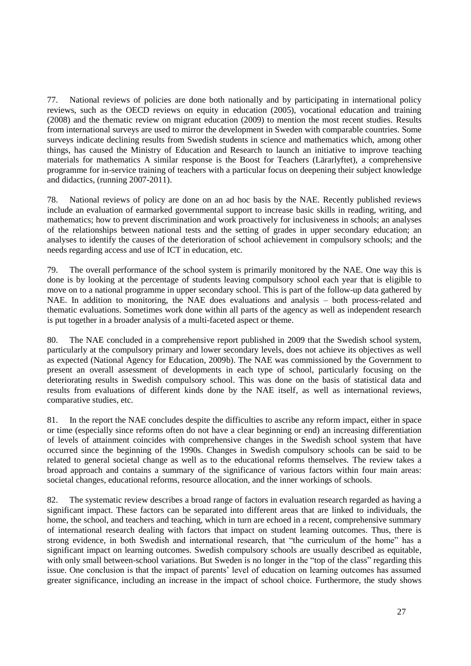77. National reviews of policies are done both nationally and by participating in international policy reviews, such as the OECD reviews on equity in education (2005), vocational education and training (2008) and the thematic review on migrant education (2009) to mention the most recent studies. Results from international surveys are used to mirror the development in Sweden with comparable countries. Some surveys indicate declining results from Swedish students in science and mathematics which, among other things, has caused the Ministry of Education and Research to launch an initiative to improve teaching materials for mathematics A similar response is the Boost for Teachers (Lärarlyftet), a comprehensive programme for in-service training of teachers with a particular focus on deepening their subject knowledge and didactics, (running 2007-2011).

78. National reviews of policy are done on an ad hoc basis by the NAE. Recently published reviews include an evaluation of earmarked governmental support to increase basic skills in reading, writing, and mathematics; how to prevent discrimination and work proactively for inclusiveness in schools; an analyses of the relationships between national tests and the setting of grades in upper secondary education; an analyses to identify the causes of the deterioration of school achievement in compulsory schools; and the needs regarding access and use of ICT in education, etc.

79. The overall performance of the school system is primarily monitored by the NAE. One way this is done is by looking at the percentage of students leaving compulsory school each year that is eligible to move on to a national programme in upper secondary school. This is part of the follow-up data gathered by NAE. In addition to monitoring, the NAE does evaluations and analysis – both process-related and thematic evaluations. Sometimes work done within all parts of the agency as well as independent research is put together in a broader analysis of a multi-faceted aspect or theme.

80. The NAE concluded in a comprehensive report published in 2009 that the Swedish school system, particularly at the compulsory primary and lower secondary levels, does not achieve its objectives as well as expected (National Agency for Education, 2009b). The NAE was commissioned by the Government to present an overall assessment of developments in each type of school, particularly focusing on the deteriorating results in Swedish compulsory school. This was done on the basis of statistical data and results from evaluations of different kinds done by the NAE itself, as well as international reviews, comparative studies, etc.

81. In the report the NAE concludes despite the difficulties to ascribe any reform impact, either in space or time (especially since reforms often do not have a clear beginning or end) an increasing differentiation of levels of attainment coincides with comprehensive changes in the Swedish school system that have occurred since the beginning of the 1990s. Changes in Swedish compulsory schools can be said to be related to general societal change as well as to the educational reforms themselves. The review takes a broad approach and contains a summary of the significance of various factors within four main areas: societal changes, educational reforms, resource allocation, and the inner workings of schools.

82. The systematic review describes a broad range of factors in evaluation research regarded as having a significant impact. These factors can be separated into different areas that are linked to individuals, the home, the school, and teachers and teaching, which in turn are echoed in a recent, comprehensive summary of international research dealing with factors that impact on student learning outcomes. Thus, there is strong evidence, in both Swedish and international research, that "the curriculum of the home" has a significant impact on learning outcomes. Swedish compulsory schools are usually described as equitable, with only small between-school variations. But Sweden is no longer in the "top of the class" regarding this issue. One conclusion is that the impact of parents' level of education on learning outcomes has assumed greater significance, including an increase in the impact of school choice. Furthermore, the study shows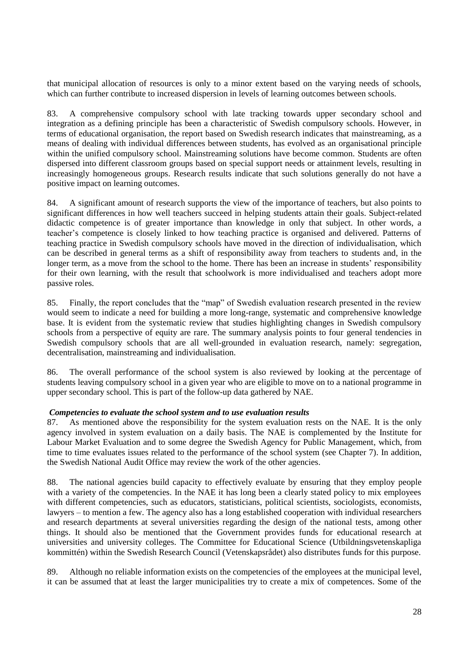that municipal allocation of resources is only to a minor extent based on the varying needs of schools, which can further contribute to increased dispersion in levels of learning outcomes between schools.

83. A comprehensive compulsory school with late tracking towards upper secondary school and integration as a defining principle has been a characteristic of Swedish compulsory schools. However, in terms of educational organisation, the report based on Swedish research indicates that mainstreaming, as a means of dealing with individual differences between students, has evolved as an organisational principle within the unified compulsory school. Mainstreaming solutions have become common. Students are often dispersed into different classroom groups based on special support needs or attainment levels, resulting in increasingly homogeneous groups. Research results indicate that such solutions generally do not have a positive impact on learning outcomes.

84. A significant amount of research supports the view of the importance of teachers, but also points to significant differences in how well teachers succeed in helping students attain their goals. Subject-related didactic competence is of greater importance than knowledge in only that subject. In other words, a teacher's competence is closely linked to how teaching practice is organised and delivered. Patterns of teaching practice in Swedish compulsory schools have moved in the direction of individualisation, which can be described in general terms as a shift of responsibility away from teachers to students and, in the longer term, as a move from the school to the home. There has been an increase in students' responsibility for their own learning, with the result that schoolwork is more individualised and teachers adopt more passive roles.

85. Finally, the report concludes that the "map" of Swedish evaluation research presented in the review would seem to indicate a need for building a more long-range, systematic and comprehensive knowledge base. It is evident from the systematic review that studies highlighting changes in Swedish compulsory schools from a perspective of equity are rare. The summary analysis points to four general tendencies in Swedish compulsory schools that are all well-grounded in evaluation research, namely: segregation, decentralisation, mainstreaming and individualisation.

86. The overall performance of the school system is also reviewed by looking at the percentage of students leaving compulsory school in a given year who are eligible to move on to a national programme in upper secondary school. This is part of the follow-up data gathered by NAE.

#### *Competencies to evaluate the school system and to use evaluation results*

87. As mentioned above the responsibility for the system evaluation rests on the NAE. It is the only agency involved in system evaluation on a daily basis. The NAE is complemented by the Institute for Labour Market Evaluation and to some degree the Swedish Agency for Public Management, which, from time to time evaluates issues related to the performance of the school system (see Chapter 7). In addition, the Swedish National Audit Office may review the work of the other agencies.

88. The national agencies build capacity to effectively evaluate by ensuring that they employ people with a variety of the competencies. In the NAE it has long been a clearly stated policy to mix employees with different competencies, such as educators, statisticians, political scientists, sociologists, economists, lawyers – to mention a few. The agency also has a long established cooperation with individual researchers and research departments at several universities regarding the design of the national tests, among other things. It should also be mentioned that the Government provides funds for educational research at universities and university colleges. The Committee for Educational Science (Utbildningsvetenskapliga kommittén) within the Swedish Research Council (Vetenskapsrådet) also distributes funds for this purpose.

89. Although no reliable information exists on the competencies of the employees at the municipal level, it can be assumed that at least the larger municipalities try to create a mix of competences. Some of the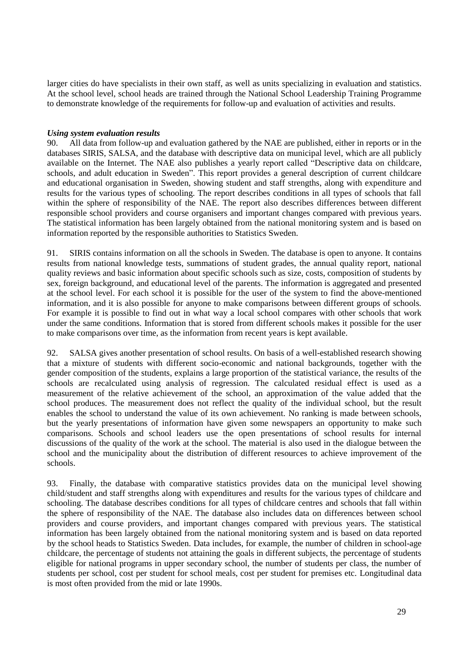larger cities do have specialists in their own staff, as well as units specializing in evaluation and statistics. At the school level, school heads are trained through the National School Leadership Training Programme to demonstrate knowledge of the requirements for follow-up and evaluation of activities and results.

# *Using system evaluation results*

90. All data from follow-up and evaluation gathered by the NAE are published, either in reports or in the databases SIRIS, SALSA, and the database with descriptive data on municipal level, which are all publicly available on the Internet. The NAE also publishes a yearly report called "Descriptive data on childcare, schools, and adult education in Sweden". This report provides a general description of current childcare and educational organisation in Sweden, showing student and staff strengths, along with expenditure and results for the various types of schooling. The report describes conditions in all types of schools that fall within the sphere of responsibility of the NAE. The report also describes differences between different responsible school providers and course organisers and important changes compared with previous years. The statistical information has been largely obtained from the national monitoring system and is based on information reported by the responsible authorities to Statistics Sweden.

91. SIRIS contains information on all the schools in Sweden. The database is open to anyone. It contains results from national knowledge tests, summations of student grades, the annual quality report, national quality reviews and basic information about specific schools such as size, costs, composition of students by sex, foreign background, and educational level of the parents. The information is aggregated and presented at the school level. For each school it is possible for the user of the system to find the above-mentioned information, and it is also possible for anyone to make comparisons between different groups of schools. For example it is possible to find out in what way a local school compares with other schools that work under the same conditions. Information that is stored from different schools makes it possible for the user to make comparisons over time, as the information from recent years is kept available.

92. SALSA gives another presentation of school results. On basis of a well-established research showing that a mixture of students with different socio-economic and national backgrounds, together with the gender composition of the students, explains a large proportion of the statistical variance, the results of the schools are recalculated using analysis of regression. The calculated residual effect is used as a measurement of the relative achievement of the school, an approximation of the value added that the school produces. The measurement does not reflect the quality of the individual school, but the result enables the school to understand the value of its own achievement. No ranking is made between schools, but the yearly presentations of information have given some newspapers an opportunity to make such comparisons. Schools and school leaders use the open presentations of school results for internal discussions of the quality of the work at the school. The material is also used in the dialogue between the school and the municipality about the distribution of different resources to achieve improvement of the schools.

93. Finally, the database with comparative statistics provides data on the municipal level showing child/student and staff strengths along with expenditures and results for the various types of childcare and schooling. The database describes conditions for all types of childcare centres and schools that fall within the sphere of responsibility of the NAE. The database also includes data on differences between school providers and course providers, and important changes compared with previous years. The statistical information has been largely obtained from the national monitoring system and is based on data reported by the school heads to Statistics Sweden. Data includes, for example, the number of children in school-age childcare, the percentage of students not attaining the goals in different subjects, the percentage of students eligible for national programs in upper secondary school, the number of students per class, the number of students per school, cost per student for school meals, cost per student for premises etc. Longitudinal data is most often provided from the mid or late 1990s.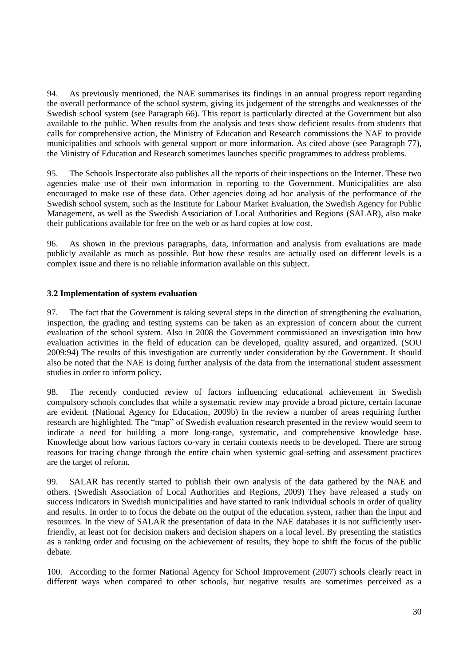94. As previously mentioned, the NAE summarises its findings in an annual progress report regarding the overall performance of the school system, giving its judgement of the strengths and weaknesses of the Swedish school system (see Paragraph 66). This report is particularly directed at the Government but also available to the public. When results from the analysis and tests show deficient results from students that calls for comprehensive action, the Ministry of Education and Research commissions the NAE to provide municipalities and schools with general support or more information. As cited above (see Paragraph 77), the Ministry of Education and Research sometimes launches specific programmes to address problems.

95. The Schools Inspectorate also publishes all the reports of their inspections on the Internet. These two agencies make use of their own information in reporting to the Government. Municipalities are also encouraged to make use of these data. Other agencies doing ad hoc analysis of the performance of the Swedish school system, such as the Institute for Labour Market Evaluation, the Swedish Agency for Public Management, as well as the Swedish Association of Local Authorities and Regions (SALAR), also make their publications available for free on the web or as hard copies at low cost.

96. As shown in the previous paragraphs, data, information and analysis from evaluations are made publicly available as much as possible. But how these results are actually used on different levels is a complex issue and there is no reliable information available on this subject.

# <span id="page-29-0"></span>**3.2 Implementation of system evaluation**

97. The fact that the Government is taking several steps in the direction of strengthening the evaluation, inspection, the grading and testing systems can be taken as an expression of concern about the current evaluation of the school system. Also in 2008 the Government commissioned an investigation into how evaluation activities in the field of education can be developed, quality assured, and organized. (SOU 2009:94) The results of this investigation are currently under consideration by the Government. It should also be noted that the NAE is doing further analysis of the data from the international student assessment studies in order to inform policy.

98. The recently conducted review of factors influencing educational achievement in Swedish compulsory schools concludes that while a systematic review may provide a broad picture, certain lacunae are evident. (National Agency for Education, 2009b) In the review a number of areas requiring further research are highlighted. The "map" of Swedish evaluation research presented in the review would seem to indicate a need for building a more long-range, systematic, and comprehensive knowledge base. Knowledge about how various factors co-vary in certain contexts needs to be developed. There are strong reasons for tracing change through the entire chain when systemic goal-setting and assessment practices are the target of reform.

99. SALAR has recently started to publish their own analysis of the data gathered by the NAE and others. (Swedish Association of Local Authorities and Regions, 2009) They have released a study on success indicators in Swedish municipalities and have started to rank individual schools in order of quality and results. In order to to focus the debate on the output of the education system, rather than the input and resources. In the view of SALAR the presentation of data in the NAE databases it is not sufficiently userfriendly, at least not for decision makers and decision shapers on a local level. By presenting the statistics as a ranking order and focusing on the achievement of results, they hope to shift the focus of the public debate.

100. According to the former National Agency for School Improvement (2007) schools clearly react in different ways when compared to other schools, but negative results are sometimes perceived as a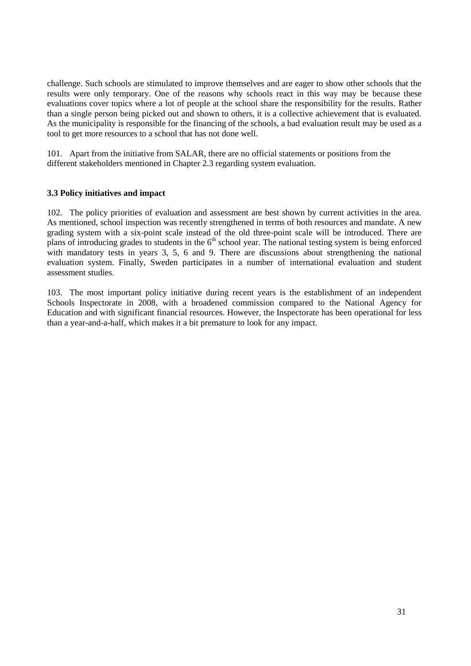challenge. Such schools are stimulated to improve themselves and are eager to show other schools that the results were only temporary. One of the reasons why schools react in this way may be because these evaluations cover topics where a lot of people at the school share the responsibility for the results. Rather than a single person being picked out and shown to others, it is a collective achievement that is evaluated. As the municipality is responsible for the financing of the schools, a bad evaluation result may be used as a tool to get more resources to a school that has not done well.

101. Apart from the initiative from SALAR, there are no official statements or positions from the different stakeholders mentioned in Chapter 2.3 regarding system evaluation.

# <span id="page-30-0"></span>**3.3 Policy initiatives and impact**

102. The policy priorities of evaluation and assessment are best shown by current activities in the area. As mentioned, school inspection was recently strengthened in terms of both resources and mandate. A new grading system with a six-point scale instead of the old three-point scale will be introduced. There are plans of introducing grades to students in the  $6<sup>th</sup>$  school year. The national testing system is being enforced with mandatory tests in years 3, 5, 6 and 9. There are discussions about strengthening the national evaluation system. Finally, Sweden participates in a number of international evaluation and student assessment studies.

<span id="page-30-1"></span>103. The most important policy initiative during recent years is the establishment of an independent Schools Inspectorate in 2008, with a broadened commission compared to the National Agency for Education and with significant financial resources. However, the Inspectorate has been operational for less than a year-and-a-half, which makes it a bit premature to look for any impact.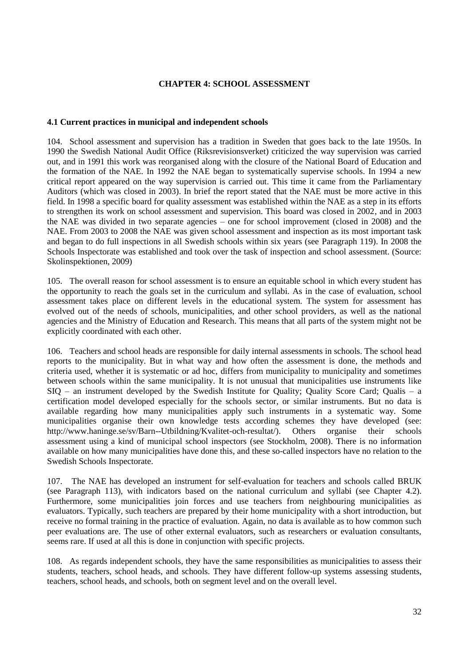# **CHAPTER 4: SCHOOL ASSESSMENT**

# <span id="page-31-0"></span>**4.1 Current practices in municipal and independent schools**

104. School assessment and supervision has a tradition in Sweden that goes back to the late 1950s. In 1990 the Swedish National Audit Office (Riksrevisionsverket) criticized the way supervision was carried out, and in 1991 this work was reorganised along with the closure of the National Board of Education and the formation of the NAE. In 1992 the NAE began to systematically supervise schools. In 1994 a new critical report appeared on the way supervision is carried out. This time it came from the Parliamentary Auditors (which was closed in 2003). In brief the report stated that the NAE must be more active in this field. In 1998 a specific board for quality assessment was established within the NAE as a step in its efforts to strengthen its work on school assessment and supervision. This board was closed in 2002, and in 2003 the NAE was divided in two separate agencies – one for school improvement (closed in 2008) and the NAE. From 2003 to 2008 the NAE was given school assessment and inspection as its most important task and began to do full inspections in all Swedish schools within six years (see Paragraph 119). In 2008 the Schools Inspectorate was established and took over the task of inspection and school assessment. (Source: Skolinspektionen, 2009)

105. The overall reason for school assessment is to ensure an equitable school in which every student has the opportunity to reach the goals set in the curriculum and syllabi. As in the case of evaluation, school assessment takes place on different levels in the educational system. The system for assessment has evolved out of the needs of schools, municipalities, and other school providers, as well as the national agencies and the Ministry of Education and Research. This means that all parts of the system might not be explicitly coordinated with each other.

106. Teachers and school heads are responsible for daily internal assessments in schools. The school head reports to the municipality. But in what way and how often the assessment is done, the methods and criteria used, whether it is systematic or ad hoc, differs from municipality to municipality and sometimes between schools within the same municipality. It is not unusual that municipalities use instruments like SIQ – an instrument developed by the Swedish Institute for Quality; Quality Score Card; Qualis – a certification model developed especially for the schools sector, or similar instruments. But no data is available regarding how many municipalities apply such instruments in a systematic way. Some municipalities organise their own knowledge tests according schemes they have developed (see: http://www.haninge.se/sv/Barn--Utbildning/Kvalitet-och-resultat/). Others organise their schools assessment using a kind of municipal school inspectors (see Stockholm, 2008). There is no information available on how many municipalities have done this, and these so-called inspectors have no relation to the Swedish Schools Inspectorate.

107. The NAE has developed an instrument for self-evaluation for teachers and schools called BRUK (see Paragraph 113), with indicators based on the national curriculum and syllabi (see Chapter 4.2). Furthermore, some municipalities join forces and use teachers from neighbouring municipalities as evaluators. Typically, such teachers are prepared by their home municipality with a short introduction, but receive no formal training in the practice of evaluation. Again, no data is available as to how common such peer evaluations are. The use of other external evaluators, such as researchers or evaluation consultants, seems rare. If used at all this is done in conjunction with specific projects.

108. As regards independent schools, they have the same responsibilities as municipalities to assess their students, teachers, school heads, and schools. They have different follow-up systems assessing students, teachers, school heads, and schools, both on segment level and on the overall level.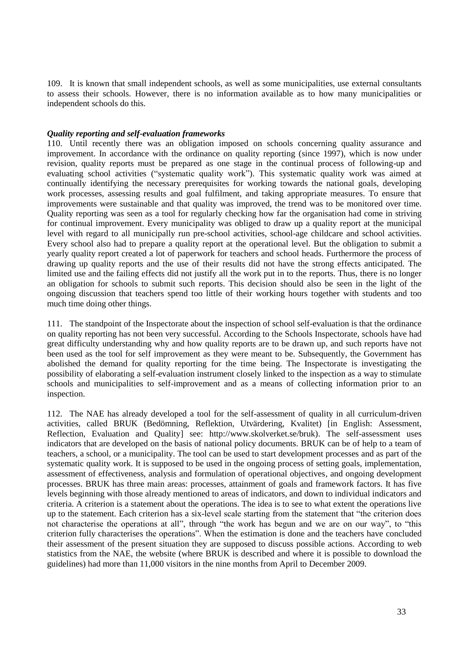109. It is known that small independent schools, as well as some municipalities, use external consultants to assess their schools. However, there is no information available as to how many municipalities or independent schools do this.

### *Quality reporting and self-evaluation frameworks*

110. Until recently there was an obligation imposed on schools concerning quality assurance and improvement. In accordance with the ordinance on quality reporting (since 1997), which is now under revision, quality reports must be prepared as one stage in the continual process of following-up and evaluating school activities ("systematic quality work"). This systematic quality work was aimed at continually identifying the necessary prerequisites for working towards the national goals, developing work processes, assessing results and goal fulfilment, and taking appropriate measures. To ensure that improvements were sustainable and that quality was improved, the trend was to be monitored over time. Quality reporting was seen as a tool for regularly checking how far the organisation had come in striving for continual improvement. Every municipality was obliged to draw up a quality report at the municipal level with regard to all municipally run pre-school activities, school-age childcare and school activities. Every school also had to prepare a quality report at the operational level. But the obligation to submit a yearly quality report created a lot of paperwork for teachers and school heads. Furthermore the process of drawing up quality reports and the use of their results did not have the strong effects anticipated. The limited use and the failing effects did not justify all the work put in to the reports. Thus, there is no longer an obligation for schools to submit such reports. This decision should also be seen in the light of the ongoing discussion that teachers spend too little of their working hours together with students and too much time doing other things.

111. The standpoint of the Inspectorate about the inspection of school self-evaluation is that the ordinance on quality reporting has not been very successful. According to the Schools Inspectorate, schools have had great difficulty understanding why and how quality reports are to be drawn up, and such reports have not been used as the tool for self improvement as they were meant to be. Subsequently, the Government has abolished the demand for quality reporting for the time being. The Inspectorate is investigating the possibility of elaborating a self-evaluation instrument closely linked to the inspection as a way to stimulate schools and municipalities to self-improvement and as a means of collecting information prior to an inspection.

112. The NAE has already developed a tool for the self-assessment of quality in all curriculum-driven activities, called BRUK (Bedömning, Reflektion, Utvärdering, Kvalitet) [in English: Assessment, Reflection, Evaluation and Quality] see: http://www.skolverket.se/bruk). The self-assessment uses indicators that are developed on the basis of national policy documents. BRUK can be of help to a team of teachers, a school, or a municipality. The tool can be used to start development processes and as part of the systematic quality work. It is supposed to be used in the ongoing process of setting goals, implementation, assessment of effectiveness, analysis and formulation of operational objectives, and ongoing development processes. BRUK has three main areas: processes, attainment of goals and framework factors. It has five levels beginning with those already mentioned to areas of indicators, and down to individual indicators and criteria. A criterion is a statement about the operations. The idea is to see to what extent the operations live up to the statement. Each criterion has a six-level scale starting from the statement that "the criterion does not characterise the operations at all", through "the work has begun and we are on our way", to "this criterion fully characterises the operations". When the estimation is done and the teachers have concluded their assessment of the present situation they are supposed to discuss possible actions. According to web statistics from the NAE, the website (where BRUK is described and where it is possible to download the guidelines) had more than 11,000 visitors in the nine months from April to December 2009.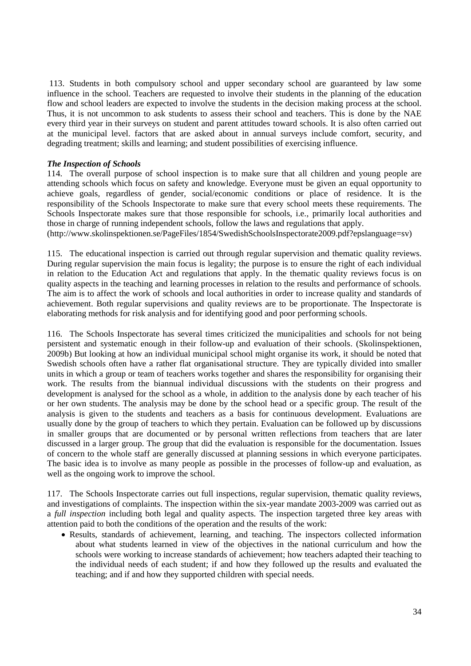113. Students in both compulsory school and upper secondary school are guaranteed by law some influence in the school. Teachers are requested to involve their students in the planning of the education flow and school leaders are expected to involve the students in the decision making process at the school. Thus, it is not uncommon to ask students to assess their school and teachers. This is done by the NAE every third year in their surveys on student and parent attitudes toward schools. It is also often carried out at the municipal level. factors that are asked about in annual surveys include comfort, security, and degrading treatment; skills and learning; and student possibilities of exercising influence.

#### *The Inspection of Schools*

114. The overall purpose of school inspection is to make sure that all children and young people are attending schools which focus on safety and knowledge. Everyone must be given an equal opportunity to achieve goals, regardless of gender, social/economic conditions or place of residence. It is the responsibility of the Schools Inspectorate to make sure that every school meets these requirements. The Schools Inspectorate makes sure that those responsible for schools, i.e., primarily local authorities and those in charge of running independent schools, follow the laws and regulations that apply.

(http://www.skolinspektionen.se/PageFiles/1854/SwedishSchoolsInspectorate2009.pdf?epslanguage=sv)

115. The educational inspection is carried out through regular supervision and thematic quality reviews. During regular supervision the main focus is legality; the purpose is to ensure the right of each individual in relation to the Education Act and regulations that apply. In the thematic quality reviews focus is on quality aspects in the teaching and learning processes in relation to the results and performance of schools. The aim is to affect the work of schools and local authorities in order to increase quality and standards of achievement. Both regular supervisions and quality reviews are to be proportionate. The Inspectorate is elaborating methods for risk analysis and for identifying good and poor performing schools.

116. The Schools Inspectorate has several times criticized the municipalities and schools for not being persistent and systematic enough in their follow-up and evaluation of their schools. (Skolinspektionen, 2009b) But looking at how an individual municipal school might organise its work, it should be noted that Swedish schools often have a rather flat organisational structure. They are typically divided into smaller units in which a group or team of teachers works together and shares the responsibility for organising their work. The results from the biannual individual discussions with the students on their progress and development is analysed for the school as a whole, in addition to the analysis done by each teacher of his or her own students. The analysis may be done by the school head or a specific group. The result of the analysis is given to the students and teachers as a basis for continuous development. Evaluations are usually done by the group of teachers to which they pertain. Evaluation can be followed up by discussions in smaller groups that are documented or by personal written reflections from teachers that are later discussed in a larger group. The group that did the evaluation is responsible for the documentation. Issues of concern to the whole staff are generally discussed at planning sessions in which everyone participates. The basic idea is to involve as many people as possible in the processes of follow-up and evaluation, as well as the ongoing work to improve the school.

117. The Schools Inspectorate carries out full inspections, regular supervision, thematic quality reviews, and investigations of complaints. The inspection within the six-year mandate 2003-2009 was carried out as a *full inspection* including both legal and quality aspects. The inspection targeted three key areas with attention paid to both the conditions of the operation and the results of the work:

• Results, standards of achievement, learning, and teaching. The inspectors collected information about what students learned in view of the objectives in the national curriculum and how the schools were working to increase standards of achievement; how teachers adapted their teaching to the individual needs of each student; if and how they followed up the results and evaluated the teaching; and if and how they supported children with special needs.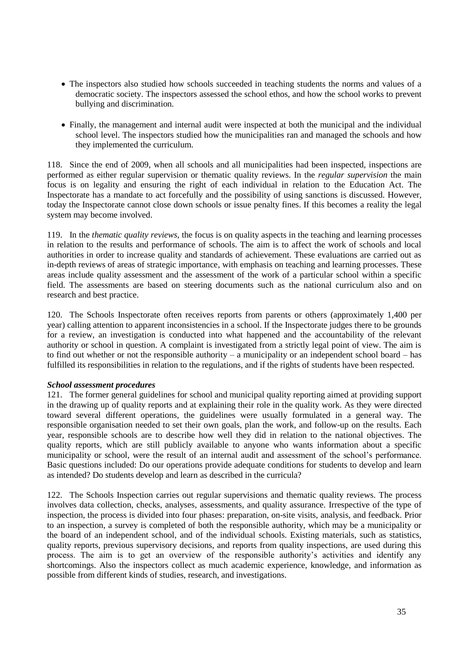- The inspectors also studied how schools succeeded in teaching students the norms and values of a democratic society. The inspectors assessed the school ethos, and how the school works to prevent bullying and discrimination.
- Finally, the management and internal audit were inspected at both the municipal and the individual school level. The inspectors studied how the municipalities ran and managed the schools and how they implemented the curriculum.

118. Since the end of 2009, when all schools and all municipalities had been inspected, inspections are performed as either regular supervision or thematic quality reviews. In the *regular supervision* the main focus is on legality and ensuring the right of each individual in relation to the Education Act. The Inspectorate has a mandate to act forcefully and the possibility of using sanctions is discussed. However, today the Inspectorate cannot close down schools or issue penalty fines. If this becomes a reality the legal system may become involved.

119. In the *thematic quality reviews,* the focus is on quality aspects in the teaching and learning processes in relation to the results and performance of schools. The aim is to affect the work of schools and local authorities in order to increase quality and standards of achievement. These evaluations are carried out as in-depth reviews of areas of strategic importance, with emphasis on teaching and learning processes. These areas include quality assessment and the assessment of the work of a particular school within a specific field. The assessments are based on steering documents such as the national curriculum also and on research and best practice.

120. The Schools Inspectorate often receives reports from parents or others (approximately 1,400 per year) calling attention to apparent inconsistencies in a school. If the Inspectorate judges there to be grounds for a review, an investigation is conducted into what happened and the accountability of the relevant authority or school in question. A complaint is investigated from a strictly legal point of view. The aim is to find out whether or not the responsible authority – a municipality or an independent school board – has fulfilled its responsibilities in relation to the regulations, and if the rights of students have been respected.

# *School assessment procedures*

121. The former general guidelines for school and municipal quality reporting aimed at providing support in the drawing up of quality reports and at explaining their role in the quality work. As they were directed toward several different operations, the guidelines were usually formulated in a general way. The responsible organisation needed to set their own goals, plan the work, and follow-up on the results. Each year, responsible schools are to describe how well they did in relation to the national objectives. The quality reports, which are still publicly available to anyone who wants information about a specific municipality or school, were the result of an internal audit and assessment of the school's performance. Basic questions included: Do our operations provide adequate conditions for students to develop and learn as intended? Do students develop and learn as described in the curricula?

122. The Schools Inspection carries out regular supervisions and thematic quality reviews. The process involves data collection, checks, analyses, assessments, and quality assurance. Irrespective of the type of inspection, the process is divided into four phases: preparation, on-site visits, analysis, and feedback. Prior to an inspection, a survey is completed of both the responsible authority, which may be a municipality or the board of an independent school, and of the individual schools. Existing materials, such as statistics, quality reports, previous supervisory decisions, and reports from quality inspections, are used during this process. The aim is to get an overview of the responsible authority's activities and identify any shortcomings. Also the inspectors collect as much academic experience, knowledge, and information as possible from different kinds of studies, research, and investigations.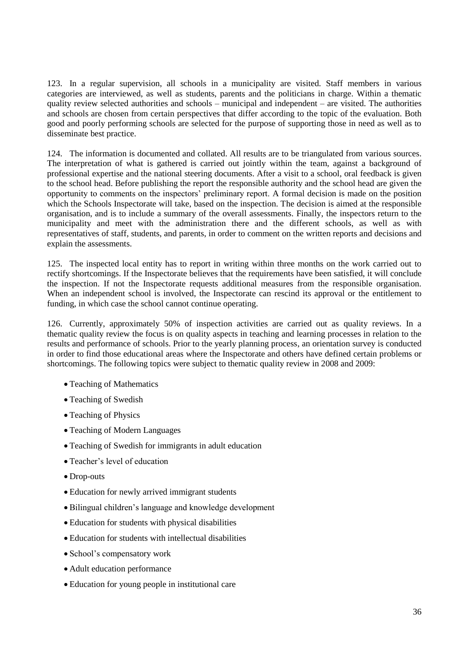123. In a regular supervision, all schools in a municipality are visited. Staff members in various categories are interviewed, as well as students, parents and the politicians in charge. Within a thematic quality review selected authorities and schools – municipal and independent – are visited. The authorities and schools are chosen from certain perspectives that differ according to the topic of the evaluation. Both good and poorly performing schools are selected for the purpose of supporting those in need as well as to disseminate best practice.

124. The information is documented and collated. All results are to be triangulated from various sources. The interpretation of what is gathered is carried out jointly within the team, against a background of professional expertise and the national steering documents. After a visit to a school, oral feedback is given to the school head. Before publishing the report the responsible authority and the school head are given the opportunity to comments on the inspectors' preliminary report. A formal decision is made on the position which the Schools Inspectorate will take, based on the inspection. The decision is aimed at the responsible organisation, and is to include a summary of the overall assessments. Finally, the inspectors return to the municipality and meet with the administration there and the different schools, as well as with representatives of staff, students, and parents, in order to comment on the written reports and decisions and explain the assessments.

125. The inspected local entity has to report in writing within three months on the work carried out to rectify shortcomings. If the Inspectorate believes that the requirements have been satisfied, it will conclude the inspection. If not the Inspectorate requests additional measures from the responsible organisation. When an independent school is involved, the Inspectorate can rescind its approval or the entitlement to funding, in which case the school cannot continue operating.

126. Currently, approximately 50% of inspection activities are carried out as quality reviews. In a thematic quality review the focus is on quality aspects in teaching and learning processes in relation to the results and performance of schools. Prior to the yearly planning process, an orientation survey is conducted in order to find those educational areas where the Inspectorate and others have defined certain problems or shortcomings. The following topics were subject to thematic quality review in 2008 and 2009:

- Teaching of Mathematics
- Teaching of Swedish
- Teaching of Physics
- Teaching of Modern Languages
- Teaching of Swedish for immigrants in adult education
- Teacher's level of education
- Drop-outs
- Education for newly arrived immigrant students
- Bilingual children's language and knowledge development
- Education for students with physical disabilities
- Education for students with intellectual disabilities
- School's compensatory work
- Adult education performance
- Education for young people in institutional care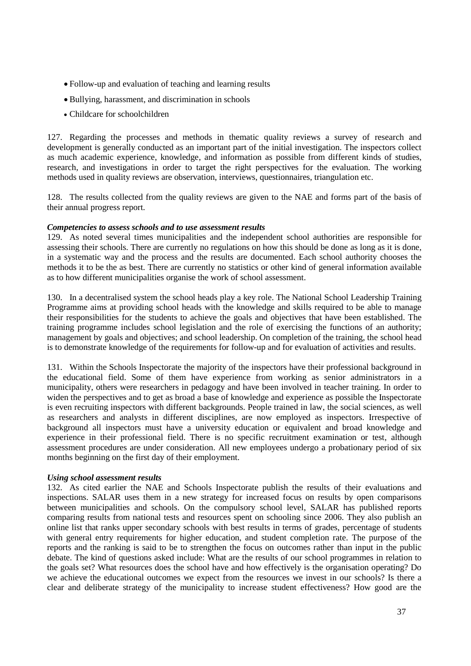- Follow-up and evaluation of teaching and learning results
- Bullying, harassment, and discrimination in schools
- Childcare for schoolchildren

127. Regarding the processes and methods in thematic quality reviews a survey of research and development is generally conducted as an important part of the initial investigation. The inspectors collect as much academic experience, knowledge, and information as possible from different kinds of studies, research, and investigations in order to target the right perspectives for the evaluation. The working methods used in quality reviews are observation, interviews, questionnaires, triangulation etc.

128. The results collected from the quality reviews are given to the NAE and forms part of the basis of their annual progress report.

# *Competencies to assess schools and to use assessment results*

129. As noted several times municipalities and the independent school authorities are responsible for assessing their schools. There are currently no regulations on how this should be done as long as it is done, in a systematic way and the process and the results are documented. Each school authority chooses the methods it to be the as best. There are currently no statistics or other kind of general information available as to how different municipalities organise the work of school assessment.

130. In a decentralised system the school heads play a key role. The National School Leadership Training Programme aims at providing school heads with the knowledge and skills required to be able to manage their responsibilities for the students to achieve the goals and objectives that have been established. The training programme includes school legislation and the role of exercising the functions of an authority; management by goals and objectives; and school leadership. On completion of the training, the school head is to demonstrate knowledge of the requirements for follow-up and for evaluation of activities and results.

131. Within the Schools Inspectorate the majority of the inspectors have their professional background in the educational field. Some of them have experience from working as senior administrators in a municipality, others were researchers in pedagogy and have been involved in teacher training. In order to widen the perspectives and to get as broad a base of knowledge and experience as possible the Inspectorate is even recruiting inspectors with different backgrounds. People trained in law, the social sciences, as well as researchers and analysts in different disciplines, are now employed as inspectors. Irrespective of background all inspectors must have a university education or equivalent and broad knowledge and experience in their professional field. There is no specific recruitment examination or test, although assessment procedures are under consideration. All new employees undergo a probationary period of six months beginning on the first day of their employment.

# *Using school assessment results*

132. As cited earlier the NAE and Schools Inspectorate publish the results of their evaluations and inspections. SALAR uses them in a new strategy for increased focus on results by open comparisons between municipalities and schools. On the compulsory school level, SALAR has published reports comparing results from national tests and resources spent on schooling since 2006. They also publish an online list that ranks upper secondary schools with best results in terms of grades, percentage of students with general entry requirements for higher education, and student completion rate. The purpose of the reports and the ranking is said to be to strengthen the focus on outcomes rather than input in the public debate. The kind of questions asked include: What are the results of our school programmes in relation to the goals set? What resources does the school have and how effectively is the organisation operating? Do we achieve the educational outcomes we expect from the resources we invest in our schools? Is there a clear and deliberate strategy of the municipality to increase student effectiveness? How good are the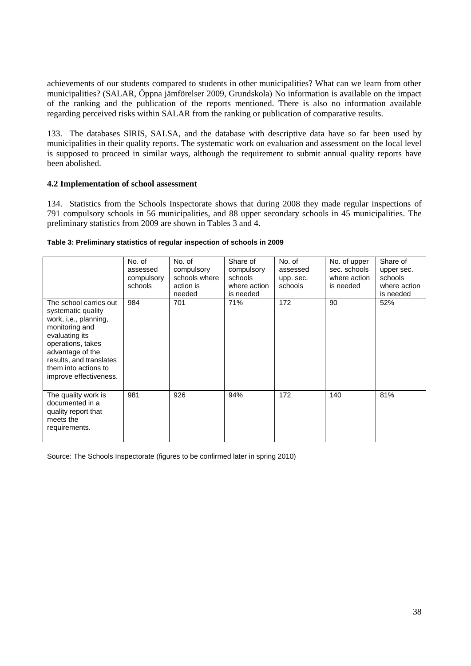achievements of our students compared to students in other municipalities? What can we learn from other municipalities? (SALAR, Öppna jämförelser 2009, Grundskola) No information is available on the impact of the ranking and the publication of the reports mentioned. There is also no information available regarding perceived risks within SALAR from the ranking or publication of comparative results.

133. The databases SIRIS, SALSA, and the database with descriptive data have so far been used by municipalities in their quality reports. The systematic work on evaluation and assessment on the local level is supposed to proceed in similar ways, although the requirement to submit annual quality reports have been abolished.

# <span id="page-37-0"></span>**4.2 Implementation of school assessment**

134. Statistics from the Schools Inspectorate shows that during 2008 they made regular inspections of 791 compulsory schools in 56 municipalities, and 88 upper secondary schools in 45 municipalities. The preliminary statistics from 2009 are shown in Tables 3 and 4.

# **Table 3: Preliminary statistics of regular inspection of schools in 2009**

|                                                                                                                                                                                                                                 | No. of<br>assessed<br>compulsory<br>schools | No. of<br>compulsory<br>schools where<br>action is<br>needed | Share of<br>compulsory<br>schools<br>where action<br>is needed | No. of<br>assessed<br>upp. sec.<br>schools | No. of upper<br>sec. schools<br>where action<br>is needed | Share of<br>upper sec.<br>schools<br>where action<br>is needed |
|---------------------------------------------------------------------------------------------------------------------------------------------------------------------------------------------------------------------------------|---------------------------------------------|--------------------------------------------------------------|----------------------------------------------------------------|--------------------------------------------|-----------------------------------------------------------|----------------------------------------------------------------|
| The school carries out<br>systematic quality<br>work, i.e., planning,<br>monitoring and<br>evaluating its<br>operations, takes<br>advantage of the<br>results, and translates<br>them into actions to<br>improve effectiveness. | 984                                         | 701                                                          | 71%                                                            | 172                                        | 90                                                        | 52%                                                            |
| The quality work is<br>documented in a<br>quality report that<br>meets the<br>requirements.                                                                                                                                     | 981                                         | 926                                                          | 94%                                                            | 172                                        | 140                                                       | 81%                                                            |

Source: The Schools Inspectorate (figures to be confirmed later in spring 2010)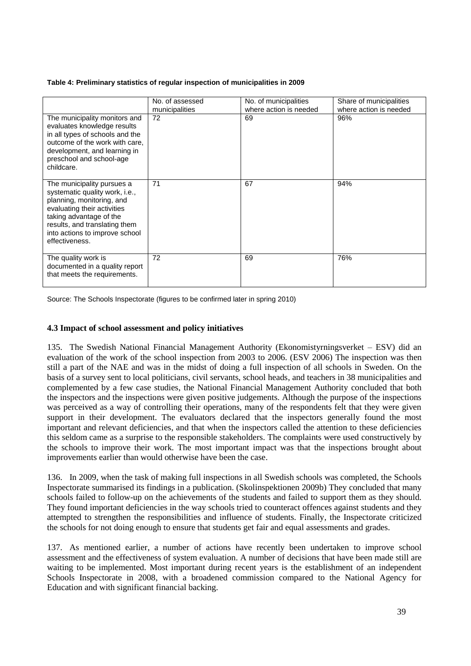#### **Table 4: Preliminary statistics of regular inspection of municipalities in 2009**

|                                                                                                                                                                                                                                          | No. of assessed<br>municipalities | No. of municipalities<br>where action is needed | Share of municipalities<br>where action is needed |
|------------------------------------------------------------------------------------------------------------------------------------------------------------------------------------------------------------------------------------------|-----------------------------------|-------------------------------------------------|---------------------------------------------------|
| The municipality monitors and<br>evaluates knowledge results<br>in all types of schools and the<br>outcome of the work with care,<br>development, and learning in<br>preschool and school-age<br>childcare.                              | 72                                | 69                                              | 96%                                               |
| The municipality pursues a<br>systematic quality work, i.e.,<br>planning, monitoring, and<br>evaluating their activities<br>taking advantage of the<br>results, and translating them<br>into actions to improve school<br>effectiveness. | 71                                | 67                                              | 94%                                               |
| The quality work is<br>documented in a quality report<br>that meets the requirements.                                                                                                                                                    | 72                                | 69                                              | 76%                                               |

Source: The Schools Inspectorate (figures to be confirmed later in spring 2010)

# <span id="page-38-0"></span>**4.3 Impact of school assessment and policy initiatives**

135. The Swedish National Financial Management Authority (Ekonomistyrningsverket – ESV) did an evaluation of the work of the school inspection from 2003 to 2006. (ESV 2006) The inspection was then still a part of the NAE and was in the midst of doing a full inspection of all schools in Sweden. On the basis of a survey sent to local politicians, civil servants, school heads, and teachers in 38 municipalities and complemented by a few case studies, the National Financial Management Authority concluded that both the inspectors and the inspections were given positive judgements. Although the purpose of the inspections was perceived as a way of controlling their operations, many of the respondents felt that they were given support in their development. The evaluators declared that the inspectors generally found the most important and relevant deficiencies, and that when the inspectors called the attention to these deficiencies this seldom came as a surprise to the responsible stakeholders. The complaints were used constructively by the schools to improve their work. The most important impact was that the inspections brought about improvements earlier than would otherwise have been the case.

136. In 2009, when the task of making full inspections in all Swedish schools was completed, the Schools Inspectorate summarised its findings in a publication. (Skolinspektionen 2009b) They concluded that many schools failed to follow-up on the achievements of the students and failed to support them as they should. They found important deficiencies in the way schools tried to counteract offences against students and they attempted to strengthen the responsibilities and influence of students. Finally, the Inspectorate criticized the schools for not doing enough to ensure that students get fair and equal assessments and grades.

137. As mentioned earlier, a number of actions have recently been undertaken to improve school assessment and the effectiveness of system evaluation. A number of decisions that have been made still are waiting to be implemented. Most important during recent years is the establishment of an independent Schools Inspectorate in 2008, with a broadened commission compared to the National Agency for Education and with significant financial backing.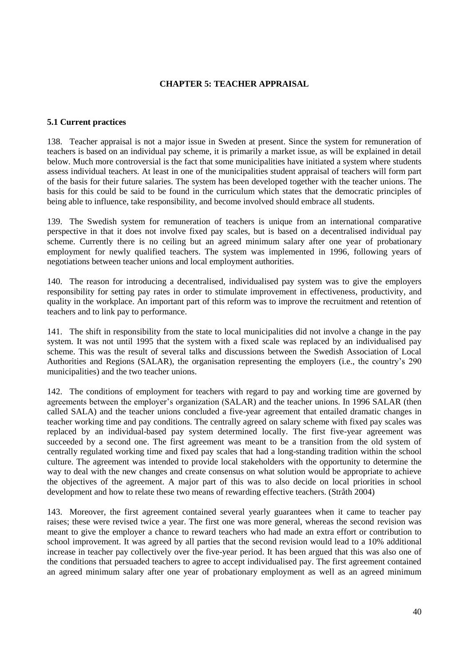# **CHAPTER 5: TEACHER APPRAISAL**

# <span id="page-39-1"></span><span id="page-39-0"></span>**5.1 Current practices**

138. Teacher appraisal is not a major issue in Sweden at present. Since the system for remuneration of teachers is based on an individual pay scheme, it is primarily a market issue, as will be explained in detail below. Much more controversial is the fact that some municipalities have initiated a system where students assess individual teachers. At least in one of the municipalities student appraisal of teachers will form part of the basis for their future salaries. The system has been developed together with the teacher unions. The basis for this could be said to be found in the curriculum which states that the democratic principles of being able to influence, take responsibility, and become involved should embrace all students.

139. The Swedish system for remuneration of teachers is unique from an international comparative perspective in that it does not involve fixed pay scales, but is based on a decentralised individual pay scheme. Currently there is no ceiling but an agreed minimum salary after one year of probationary employment for newly qualified teachers. The system was implemented in 1996, following years of negotiations between teacher unions and local employment authorities.

140. The reason for introducing a decentralised, individualised pay system was to give the employers responsibility for setting pay rates in order to stimulate improvement in effectiveness, productivity, and quality in the workplace. An important part of this reform was to improve the recruitment and retention of teachers and to link pay to performance.

141. The shift in responsibility from the state to local municipalities did not involve a change in the pay system. It was not until 1995 that the system with a fixed scale was replaced by an individualised pay scheme. This was the result of several talks and discussions between the Swedish Association of Local Authorities and Regions (SALAR), the organisation representing the employers (i.e., the country's 290 municipalities) and the two teacher unions.

142. The conditions of employment for teachers with regard to pay and working time are governed by agreements between the employer's organization (SALAR) and the teacher unions. In 1996 SALAR (then called SALA) and the teacher unions concluded a five-year agreement that entailed dramatic changes in teacher working time and pay conditions. The centrally agreed on salary scheme with fixed pay scales was replaced by an individual-based pay system determined locally. The first five-year agreement was succeeded by a second one. The first agreement was meant to be a transition from the old system of centrally regulated working time and fixed pay scales that had a long-standing tradition within the school culture. The agreement was intended to provide local stakeholders with the opportunity to determine the way to deal with the new changes and create consensus on what solution would be appropriate to achieve the objectives of the agreement. A major part of this was to also decide on local priorities in school development and how to relate these two means of rewarding effective teachers. (Stråth 2004)

143. Moreover, the first agreement contained several yearly guarantees when it came to teacher pay raises; these were revised twice a year. The first one was more general, whereas the second revision was meant to give the employer a chance to reward teachers who had made an extra effort or contribution to school improvement. It was agreed by all parties that the second revision would lead to a 10% additional increase in teacher pay collectively over the five-year period. It has been argued that this was also one of the conditions that persuaded teachers to agree to accept individualised pay. The first agreement contained an agreed minimum salary after one year of probationary employment as well as an agreed minimum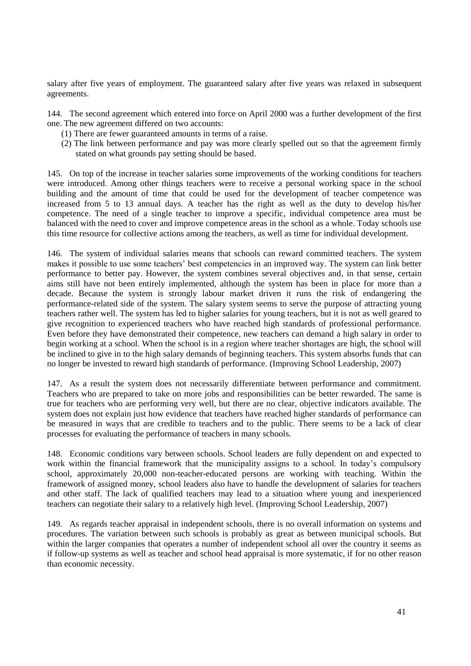salary after five years of employment. The guaranteed salary after five years was relaxed in subsequent agreements.

144. The second agreement which entered into force on April 2000 was a further development of the first one. The new agreement differed on two accounts:

- (1) There are fewer guaranteed amounts in terms of a raise.
- (2) The link between performance and pay was more clearly spelled out so that the agreement firmly stated on what grounds pay setting should be based.

145. On top of the increase in teacher salaries some improvements of the working conditions for teachers were introduced. Among other things teachers were to receive a personal working space in the school building and the amount of time that could be used for the development of teacher competence was increased from 5 to 13 annual days. A teacher has the right as well as the duty to develop his/her competence. The need of a single teacher to improve a specific, individual competence area must be balanced with the need to cover and improve competence areas in the school as a whole. Today schools use this time resource for collective actions among the teachers, as well as time for individual development.

146. The system of individual salaries means that schools can reward committed teachers. The system makes it possible to use some teachers' best competencies in an improved way. The system can link better performance to better pay. However, the system combines several objectives and, in that sense, certain aims still have not been entirely implemented, although the system has been in place for more than a decade. Because the system is strongly labour market driven it runs the risk of endangering the performance-related side of the system. The salary system seems to serve the purpose of attracting young teachers rather well. The system has led to higher salaries for young teachers, but it is not as well geared to give recognition to experienced teachers who have reached high standards of professional performance. Even before they have demonstrated their competence, new teachers can demand a high salary in order to begin working at a school. When the school is in a region where teacher shortages are high, the school will be inclined to give in to the high salary demands of beginning teachers. This system absorbs funds that can no longer be invested to reward high standards of performance. (Improving School Leadership, 2007)

147. As a result the system does not necessarily differentiate between performance and commitment. Teachers who are prepared to take on more jobs and responsibilities can be better rewarded. The same is true for teachers who are performing very well, but there are no clear, objective indicators available. The system does not explain just how evidence that teachers have reached higher standards of performance can be measured in ways that are credible to teachers and to the public. There seems to be a lack of clear processes for evaluating the performance of teachers in many schools.

148. Economic conditions vary between schools. School leaders are fully dependent on and expected to work within the financial framework that the municipality assigns to a school. In today's compulsory school, approximately 20,000 non-teacher-educated persons are working with teaching. Within the framework of assigned money, school leaders also have to handle the development of salaries for teachers and other staff. The lack of qualified teachers may lead to a situation where young and inexperienced teachers can negotiate their salary to a relatively high level. (Improving School Leadership, 2007)

149. As regards teacher appraisal in independent schools, there is no overall information on systems and procedures. The variation between such schools is probably as great as between municipal schools. But within the larger companies that operates a number of independent school all over the country it seems as if follow-up systems as well as teacher and school head appraisal is more systematic, if for no other reason than economic necessity.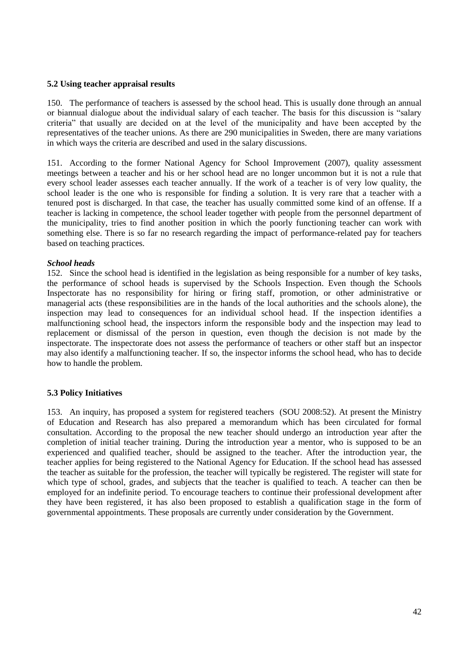### <span id="page-41-0"></span>**5.2 Using teacher appraisal results**

150. The performance of teachers is assessed by the school head. This is usually done through an annual or biannual dialogue about the individual salary of each teacher. The basis for this discussion is "salary criteria" that usually are decided on at the level of the municipality and have been accepted by the representatives of the teacher unions. As there are 290 municipalities in Sweden, there are many variations in which ways the criteria are described and used in the salary discussions.

151. According to the former National Agency for School Improvement (2007), quality assessment meetings between a teacher and his or her school head are no longer uncommon but it is not a rule that every school leader assesses each teacher annually. If the work of a teacher is of very low quality, the school leader is the one who is responsible for finding a solution. It is very rare that a teacher with a tenured post is discharged. In that case, the teacher has usually committed some kind of an offense. If a teacher is lacking in competence, the school leader together with people from the personnel department of the municipality, tries to find another position in which the poorly functioning teacher can work with something else. There is so far no research regarding the impact of performance-related pay for teachers based on teaching practices.

### *School heads*

152. Since the school head is identified in the legislation as being responsible for a number of key tasks, the performance of school heads is supervised by the Schools Inspection. Even though the Schools Inspectorate has no responsibility for hiring or firing staff, promotion, or other administrative or managerial acts (these responsibilities are in the hands of the local authorities and the schools alone), the inspection may lead to consequences for an individual school head. If the inspection identifies a malfunctioning school head, the inspectors inform the responsible body and the inspection may lead to replacement or dismissal of the person in question, even though the decision is not made by the inspectorate. The inspectorate does not assess the performance of teachers or other staff but an inspector may also identify a malfunctioning teacher. If so, the inspector informs the school head, who has to decide how to handle the problem.

# <span id="page-41-1"></span>**5.3 Policy Initiatives**

153. An inquiry, has proposed a system for registered teachers (SOU 2008:52). At present the Ministry of Education and Research has also prepared a memorandum which has been circulated for formal consultation. According to the proposal the new teacher should undergo an introduction year after the completion of initial teacher training. During the introduction year a mentor, who is supposed to be an experienced and qualified teacher, should be assigned to the teacher. After the introduction year, the teacher applies for being registered to the National Agency for Education. If the school head has assessed the teacher as suitable for the profession, the teacher will typically be registered. The register will state for which type of school, grades, and subjects that the teacher is qualified to teach. A teacher can then be employed for an indefinite period. To encourage teachers to continue their professional development after they have been registered, it has also been proposed to establish a qualification stage in the form of governmental appointments. These proposals are currently under consideration by the Government.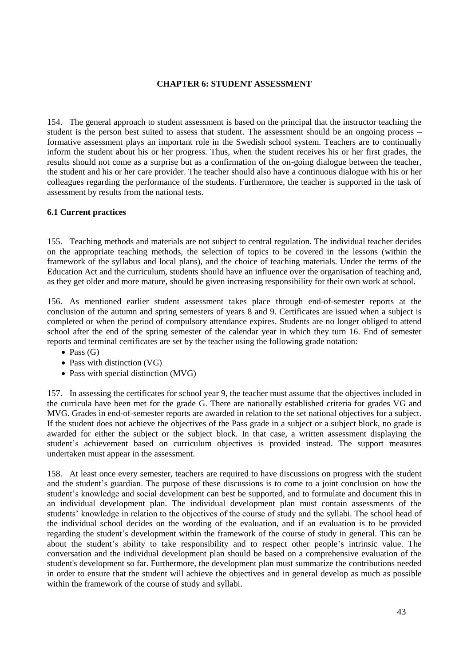# **CHAPTER 6: STUDENT ASSESSMENT**

<span id="page-42-0"></span>154. The general approach to student assessment is based on the principal that the instructor teaching the student is the person best suited to assess that student. The assessment should be an ongoing process – formative assessment plays an important role in the Swedish school system. Teachers are to continually inform the student about his or her progress. Thus, when the student receives his or her first grades, the results should not come as a surprise but as a confirmation of the on-going dialogue between the teacher, the student and his or her care provider. The teacher should also have a continuous dialogue with his or her colleagues regarding the performance of the students. Furthermore, the teacher is supported in the task of assessment by results from the national tests.

### <span id="page-42-1"></span>**6.1 Current practices**

155. Teaching methods and materials are not subject to central regulation. The individual teacher decides on the appropriate teaching methods, the selection of topics to be covered in the lessons (within the framework of the syllabus and local plans), and the choice of teaching materials. Under the terms of the Education Act and the curriculum, students should have an influence over the organisation of teaching and, as they get older and more mature, should be given increasing responsibility for their own work at school.

156. As mentioned earlier student assessment takes place through end-of-semester reports at the conclusion of the autumn and spring semesters of years 8 and 9. Certificates are issued when a subject is completed or when the period of compulsory attendance expires. Students are no longer obliged to attend school after the end of the spring semester of the calendar year in which they turn 16. End of semester reports and terminal certificates are set by the teacher using the following grade notation:

- $\bullet$  Pass (G)
- Pass with distinction (VG)
- Pass with special distinction (MVG)

157. In assessing the certificates for school year 9, the teacher must assume that the objectives included in the curricula have been met for the grade G. There are nationally established criteria for grades VG and MVG. Grades in end-of-semester reports are awarded in relation to the set national objectives for a subject. If the student does not achieve the objectives of the Pass grade in a subject or a subject block, no grade is awarded for either the subject or the subject block. In that case, a written assessment displaying the student's achievement based on curriculum objectives is provided instead. The support measures undertaken must appear in the assessment.

158. At least once every semester, teachers are required to have discussions on progress with the student and the student's guardian. The purpose of these discussions is to come to a joint conclusion on how the student's knowledge and social development can best be supported, and to formulate and document this in an individual development plan. The individual development plan must contain assessments of the students' knowledge in relation to the objectives of the course of study and the syllabi. The school head of the individual school decides on the wording of the evaluation, and if an evaluation is to be provided regarding the student's development within the framework of the course of study in general. This can be about the student's ability to take responsibility and to respect other people's intrinsic value. The conversation and the individual development plan should be based on a comprehensive evaluation of the student's development so far. Furthermore, the development plan must summarize the contributions needed in order to ensure that the student will achieve the objectives and in general develop as much as possible within the framework of the course of study and syllabi.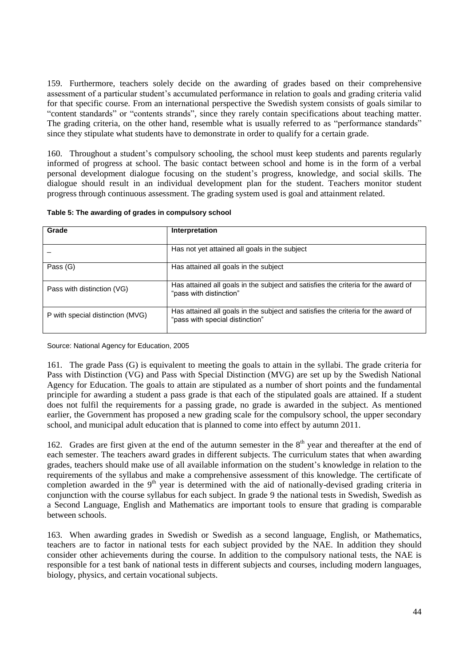159. Furthermore, teachers solely decide on the awarding of grades based on their comprehensive assessment of a particular student's accumulated performance in relation to goals and grading criteria valid for that specific course. From an international perspective the Swedish system consists of goals similar to "content standards" or "contents strands", since they rarely contain specifications about teaching matter. The grading criteria, on the other hand, resemble what is usually referred to as "performance standards" since they stipulate what students have to demonstrate in order to qualify for a certain grade.

160. Throughout a student's compulsory schooling, the school must keep students and parents regularly informed of progress at school. The basic contact between school and home is in the form of a verbal personal development dialogue focusing on the student's progress, knowledge, and social skills. The dialogue should result in an individual development plan for the student. Teachers monitor student progress through continuous assessment. The grading system used is goal and attainment related.

| Grade                            | Interpretation                                                                                                       |
|----------------------------------|----------------------------------------------------------------------------------------------------------------------|
|                                  | Has not yet attained all goals in the subject                                                                        |
| Pass (G)                         | Has attained all goals in the subject                                                                                |
| Pass with distinction (VG)       | Has attained all goals in the subject and satisfies the criteria for the award of<br>"pass with distinction"         |
| P with special distinction (MVG) | Has attained all goals in the subject and satisfies the criteria for the award of<br>"pass with special distinction" |

**Table 5: The awarding of grades in compulsory school**

Source: National Agency for Education, 2005

161. The grade Pass (G) is equivalent to meeting the goals to attain in the syllabi. The grade criteria for Pass with Distinction (VG) and Pass with Special Distinction (MVG) are set up by the Swedish National Agency for Education. The goals to attain are stipulated as a number of short points and the fundamental principle for awarding a student a pass grade is that each of the stipulated goals are attained. If a student does not fulfil the requirements for a passing grade, no grade is awarded in the subject. As mentioned earlier, the Government has proposed a new grading scale for the compulsory school, the upper secondary school, and municipal adult education that is planned to come into effect by autumn 2011.

162. Grades are first given at the end of the autumn semester in the 8<sup>th</sup> year and thereafter at the end of each semester. The teachers award grades in different subjects. The curriculum states that when awarding grades, teachers should make use of all available information on the student's knowledge in relation to the requirements of the syllabus and make a comprehensive assessment of this knowledge. The certificate of completion awarded in the  $9<sup>th</sup>$  year is determined with the aid of nationally-devised grading criteria in conjunction with the course syllabus for each subject. In grade 9 the national tests in Swedish, Swedish as a Second Language, English and Mathematics are important tools to ensure that grading is comparable between schools.

163. When awarding grades in Swedish or Swedish as a second language, English, or Mathematics, teachers are to factor in national tests for each subject provided by the NAE. In addition they should consider other achievements during the course. In addition to the compulsory national tests, the NAE is responsible for a test bank of national tests in different subjects and courses, including modern languages, biology, physics, and certain vocational subjects.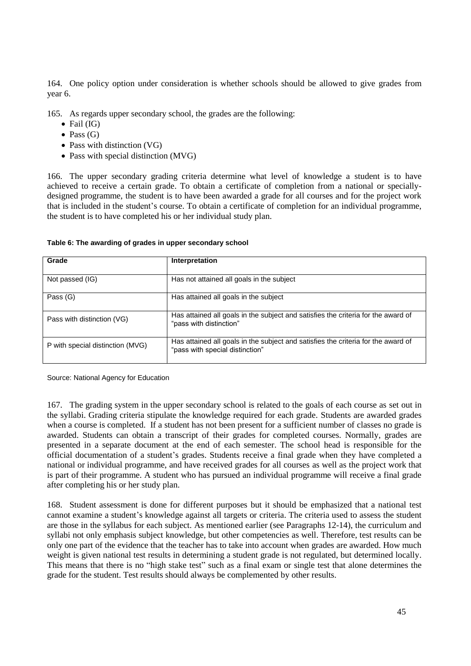164. One policy option under consideration is whether schools should be allowed to give grades from year 6.

165. As regards upper secondary school, the grades are the following:

- $\bullet$  Fail (IG)
- $\bullet$  Pass (G)
- Pass with distinction (VG)
- Pass with special distinction (MVG)

166. The upper secondary grading criteria determine what level of knowledge a student is to have achieved to receive a certain grade. To obtain a certificate of completion from a national or speciallydesigned programme, the student is to have been awarded a grade for all courses and for the project work that is included in the student's course. To obtain a certificate of completion for an individual programme, the student is to have completed his or her individual study plan.

| Grade                            | Interpretation                                                                                                       |
|----------------------------------|----------------------------------------------------------------------------------------------------------------------|
| Not passed (IG)                  | Has not attained all goals in the subject                                                                            |
| Pass (G)                         | Has attained all goals in the subject                                                                                |
| Pass with distinction (VG)       | Has attained all goals in the subject and satisfies the criteria for the award of<br>"pass with distinction"         |
| P with special distinction (MVG) | Has attained all goals in the subject and satisfies the criteria for the award of<br>"pass with special distinction" |

#### **Table 6: The awarding of grades in upper secondary school**

Source: National Agency for Education

167. The grading system in the upper secondary school is related to the goals of each course as set out in the syllabi. Grading criteria stipulate the knowledge required for each grade. Students are awarded grades when a course is completed. If a student has not been present for a sufficient number of classes no grade is awarded. Students can obtain a transcript of their grades for completed courses. Normally, grades are presented in a separate document at the end of each semester. The school head is responsible for the official documentation of a student's grades. Students receive a final grade when they have completed a national or individual programme, and have received grades for all courses as well as the project work that is part of their programme. A student who has pursued an individual programme will receive a final grade after completing his or her study plan.

168. Student assessment is done for different purposes but it should be emphasized that a national test cannot examine a student's knowledge against all targets or criteria. The criteria used to assess the student are those in the syllabus for each subject. As mentioned earlier (see Paragraphs 12-14), the curriculum and syllabi not only emphasis subject knowledge, but other competencies as well. Therefore, test results can be only one part of the evidence that the teacher has to take into account when grades are awarded. How much weight is given national test results in determining a student grade is not regulated, but determined locally. This means that there is no "high stake test" such as a final exam or single test that alone determines the grade for the student. Test results should always be complemented by other results.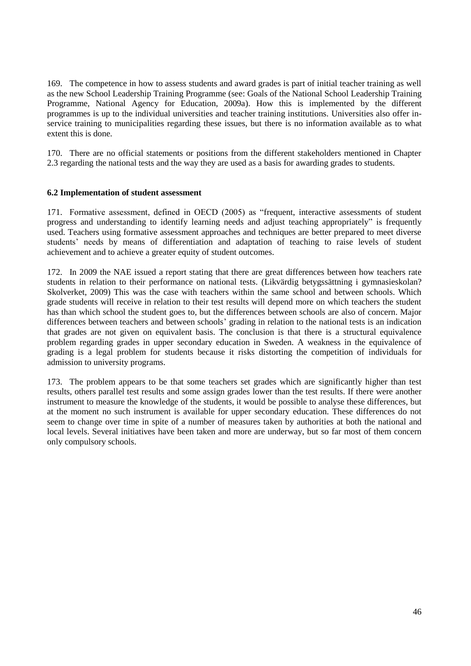169. The competence in how to assess students and award grades is part of initial teacher training as well as the new School Leadership Training Programme (see: Goals of the National School Leadership Training Programme, National Agency for Education, 2009a). How this is implemented by the different programmes is up to the individual universities and teacher training institutions. Universities also offer inservice training to municipalities regarding these issues, but there is no information available as to what extent this is done.

170. There are no official statements or positions from the different stakeholders mentioned in Chapter 2.3 regarding the national tests and the way they are used as a basis for awarding grades to students.

# <span id="page-45-0"></span>**6.2 Implementation of student assessment**

171. Formative assessment, defined in OECD (2005) as "frequent, interactive assessments of student progress and understanding to identify learning needs and adjust teaching appropriately" is frequently used. Teachers using formative assessment approaches and techniques are better prepared to meet diverse students' needs by means of differentiation and adaptation of teaching to raise levels of student achievement and to achieve a greater equity of student outcomes.

172. In 2009 the NAE issued a report stating that there are great differences between how teachers rate students in relation to their performance on national tests. (Likvärdig betygssättning i gymnasieskolan? Skolverket, 2009) This was the case with teachers within the same school and between schools. Which grade students will receive in relation to their test results will depend more on which teachers the student has than which school the student goes to, but the differences between schools are also of concern. Major differences between teachers and between schools' grading in relation to the national tests is an indication that grades are not given on equivalent basis. The conclusion is that there is a structural equivalence problem regarding grades in upper secondary education in Sweden. A weakness in the equivalence of grading is a legal problem for students because it risks distorting the competition of individuals for admission to university programs.

173. The problem appears to be that some teachers set grades which are significantly higher than test results, others parallel test results and some assign grades lower than the test results. If there were another instrument to measure the knowledge of the students, it would be possible to analyse these differences, but at the moment no such instrument is available for upper secondary education. These differences do not seem to change over time in spite of a number of measures taken by authorities at both the national and local levels. Several initiatives have been taken and more are underway, but so far most of them concern only compulsory schools.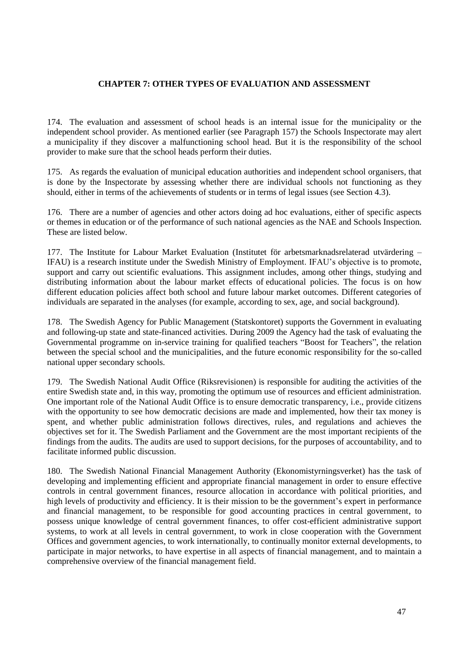# **CHAPTER 7: OTHER TYPES OF EVALUATION AND ASSESSMENT**

<span id="page-46-0"></span>174. The evaluation and assessment of school heads is an internal issue for the municipality or the independent school provider. As mentioned earlier (see Paragraph 157) the Schools Inspectorate may alert a municipality if they discover a malfunctioning school head. But it is the responsibility of the school provider to make sure that the school heads perform their duties.

175. As regards the evaluation of municipal education authorities and independent school organisers, that is done by the Inspectorate by assessing whether there are individual schools not functioning as they should, either in terms of the achievements of students or in terms of legal issues (see Section 4.3).

176. There are a number of agencies and other actors doing ad hoc evaluations, either of specific aspects or themes in education or of the performance of such national agencies as the NAE and Schools Inspection. These are listed below.

177. The Institute for Labour Market Evaluation (Institutet för arbetsmarknadsrelaterad utvärdering – IFAU) is a research institute under the Swedish Ministry of Employment. IFAU's objective is to promote, support and carry out scientific evaluations. This assignment includes, among other things, studying and distributing information about the labour market effects of educational policies. The focus is on how different education policies affect both school and future labour market outcomes. Different categories of individuals are separated in the analyses (for example, according to sex, age, and social background).

178. The Swedish Agency for Public Management (Statskontoret) supports the Government in evaluating and following-up state and state-financed activities. During 2009 the Agency had the task of evaluating the Governmental programme on in-service training for qualified teachers "Boost for Teachers", the relation between the special school and the municipalities, and the future economic responsibility for the so-called national upper secondary schools.

179. The Swedish National Audit Office (Riksrevisionen) is responsible for auditing the activities of the entire Swedish state and, in this way, promoting the optimum use of resources and efficient administration. One important role of the National Audit Office is to ensure democratic transparency, i.e., provide citizens with the opportunity to see how democratic decisions are made and implemented, how their tax money is spent, and whether public administration follows directives, rules, and regulations and achieves the objectives set for it. The Swedish Parliament and the Government are the most important recipients of the findings from the audits. The audits are used to support decisions, for the purposes of accountability, and to facilitate informed public discussion.

180. The Swedish National Financial Management Authority (Ekonomistyrningsverket) has the task of developing and implementing efficient and appropriate financial management in order to ensure effective controls in central government finances, resource allocation in accordance with political priorities, and high levels of productivity and efficiency. It is their mission to be the government's expert in performance and financial management, to be responsible for good accounting practices in central government, to possess unique knowledge of central government finances, to offer cost-efficient administrative support systems, to work at all levels in central government, to work in close cooperation with the Government Offices and government agencies, to work internationally, to continually monitor external developments, to participate in major networks, to have expertise in all aspects of financial management, and to maintain a comprehensive overview of the financial management field.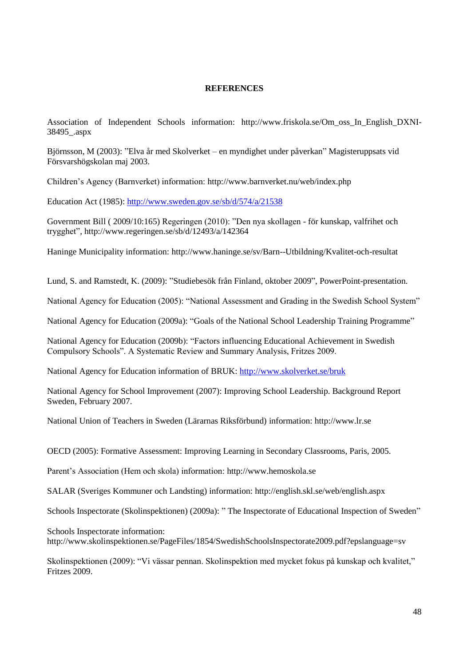# <span id="page-47-0"></span>**REFERENCES**

Association of Independent Schools information: http://www.friskola.se/Om\_oss\_In\_English\_DXNI-38495\_.aspx

Björnsson, M (2003): "Elva år med Skolverket – en myndighet under påverkan" Magisteruppsats vid Försvarshögskolan maj 2003.

Children's Agency (Barnverket) information: http://www.barnverket.nu/web/index.php

Education Act (1985)[: http://www.sweden.gov.se/sb/d/574/a/21538](http://www.sweden.gov.se/sb/d/574/a/21538)

Government Bill ( 2009/10:165) Regeringen (2010): "Den nya skollagen - för kunskap, valfrihet och trygghet", http://www.regeringen.se/sb/d/12493/a/142364

Haninge Municipality information: http://www.haninge.se/sv/Barn--Utbildning/Kvalitet-och-resultat

Lund, S. and Ramstedt, K. (2009): "Studiebesök från Finland, oktober 2009", PowerPoint-presentation.

National Agency for Education (2005): "National Assessment and Grading in the Swedish School System"

National Agency for Education (2009a): "Goals of the National School Leadership Training Programme"

National Agency for Education (2009b): "Factors influencing Educational Achievement in Swedish Compulsory Schools". A Systematic Review and Summary Analysis, Fritzes 2009.

National Agency for Education information of BRUK:<http://www.skolverket.se/bruk>

National Agency for School Improvement (2007): Improving School Leadership. Background Report Sweden, February 2007.

National Union of Teachers in Sweden (Lärarnas Riksförbund) information: http://www.lr.se

OECD (2005): Formative Assessment: Improving Learning in Secondary Classrooms, Paris, 2005.

Parent's Association (Hem och skola) information: http://www.hemoskola.se

SALAR (Sveriges Kommuner och Landsting) information: http://english.skl.se/web/english.aspx

Schools Inspectorate (Skolinspektionen) (2009a): " The Inspectorate of Educational Inspection of Sweden"

Schools Inspectorate information: http://www.skolinspektionen.se/PageFiles/1854/SwedishSchoolsInspectorate2009.pdf?epslanguage=sv

Skolinspektionen (2009): "Vi vässar pennan. Skolinspektion med mycket fokus på kunskap och kvalitet," Fritzes 2009.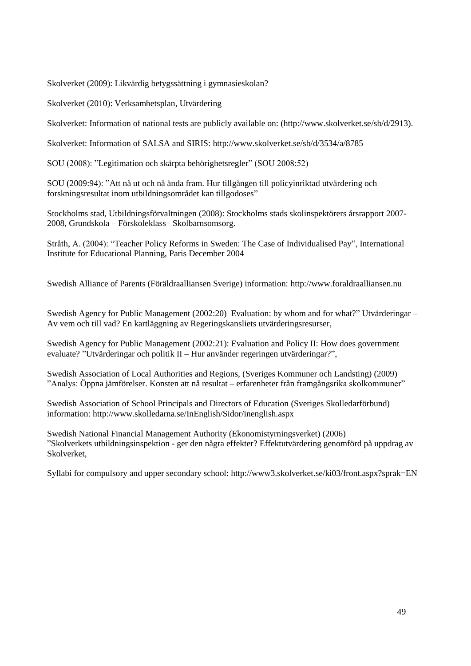Skolverket (2009): Likvärdig betygssättning i gymnasieskolan?

Skolverket (2010): Verksamhetsplan, Utvärdering

Skolverket: Information of national tests are publicly available on: (http://www.skolverket.se/sb/d/2913).

Skolverket: Information of SALSA and SIRIS: http://www.skolverket.se/sb/d/3534/a/8785

SOU (2008): "Legitimation och skärpta behörighetsregler" (SOU 2008:52)

SOU (2009:94): "Att nå ut och nå ända fram. Hur tillgången till policyinriktad utvärdering och forskningsresultat inom utbildningsområdet kan tillgodoses"

Stockholms stad, Utbildningsförvaltningen (2008): Stockholms stads skolinspektörers årsrapport 2007- 2008, Grundskola – Förskoleklass– Skolbarnsomsorg.

Stråth, A. (2004): "Teacher Policy Reforms in Sweden: The Case of Individualised Pay", International Institute for Educational Planning, Paris December 2004

Swedish Alliance of Parents (Föräldraalliansen Sverige) information: http://www.foraldraalliansen.nu

Swedish Agency for Public Management (2002:20) Evaluation: by whom and for what?" Utvärderingar – Av vem och till vad? En kartläggning av Regeringskansliets utvärderingsresurser,

Swedish Agency for Public Management (2002:21): Evaluation and Policy II: How does government evaluate? "Utvärderingar och politik II – Hur använder regeringen utvärderingar?",

Swedish Association of Local Authorities and Regions, (Sveriges Kommuner och Landsting) (2009) "Analys: Öppna jämförelser. Konsten att nå resultat – erfarenheter från framgångsrika skolkommuner"

Swedish Association of School Principals and Directors of Education (Sveriges Skolledarförbund) information: http://www.skolledarna.se/InEnglish/Sidor/inenglish.aspx

Swedish National Financial Management Authority (Ekonomistyrningsverket) (2006) "Skolverkets utbildningsinspektion - ger den några effekter? Effektutvärdering genomförd på uppdrag av Skolverket,

Syllabi for compulsory and upper secondary school: http://www3.skolverket.se/ki03/front.aspx?sprak=EN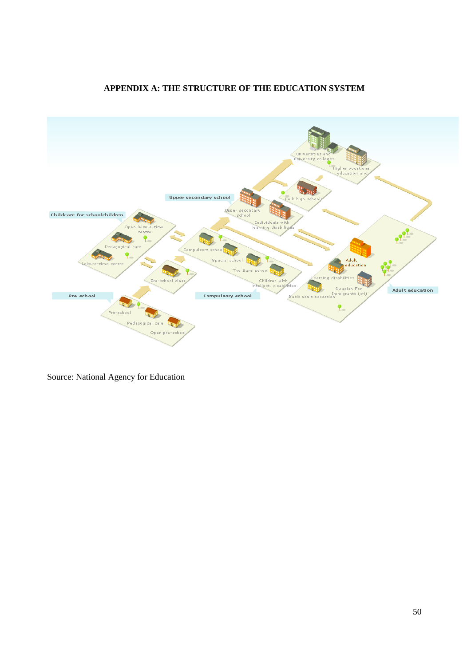<span id="page-49-0"></span>

# **APPENDIX A: THE STRUCTURE OF THE EDUCATION SYSTEM**

Source: National Agency for Education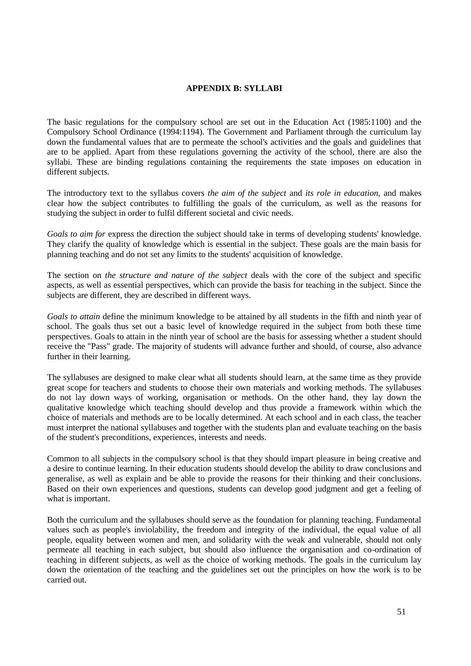# **APPENDIX B: SYLLABI**

<span id="page-50-0"></span>The basic regulations for the compulsory school are set out in the Education Act (1985:1100) and the Compulsory School Ordinance (1994:1194). The Government and Parliament through the curriculum lay down the fundamental values that are to permeate the school's activities and the goals and guidelines that are to be applied. Apart from these regulations governing the activity of the school, there are also the syllabi. These are binding regulations containing the requirements the state imposes on education in different subjects.

The introductory text to the syllabus covers *the aim of the subject* and *its role in education,* and makes clear how the subject contributes to fulfilling the goals of the curriculum, as well as the reasons for studying the subject in order to fulfil different societal and civic needs.

*Goals to aim for* express the direction the subject should take in terms of developing students' knowledge. They clarify the quality of knowledge which is essential in the subject. These goals are the main basis for planning teaching and do not set any limits to the students' acquisition of knowledge.

The section on *the structure and nature of the subject* deals with the core of the subject and specific aspects, as well as essential perspectives, which can provide the basis for teaching in the subject. Since the subjects are different, they are described in different ways.

*Goals to attain* define the minimum knowledge to be attained by all students in the fifth and ninth year of school. The goals thus set out a basic level of knowledge required in the subject from both these time perspectives. Goals to attain in the ninth year of school are the basis for assessing whether a student should receive the "Pass" grade. The majority of students will advance further and should, of course, also advance further in their learning.

The syllabuses are designed to make clear what all students should learn, at the same time as they provide great scope for teachers and students to choose their own materials and working methods. The syllabuses do not lay down ways of working, organisation or methods. On the other hand, they lay down the qualitative knowledge which teaching should develop and thus provide a framework within which the choice of materials and methods are to be locally determined. At each school and in each class, the teacher must interpret the national syllabuses and together with the students plan and evaluate teaching on the basis of the student's preconditions, experiences, interests and needs.

Common to all subjects in the compulsory school is that they should impart pleasure in being creative and a desire to continue learning. In their education students should develop the ability to draw conclusions and generalise, as well as explain and be able to provide the reasons for their thinking and their conclusions. Based on their own experiences and questions, students can develop good judgment and get a feeling of what is important.

Both the curriculum and the syllabuses should serve as the foundation for planning teaching. Fundamental values such as people's inviolability, the freedom and integrity of the individual, the equal value of all people, equality between women and men, and solidarity with the weak and vulnerable, should not only permeate all teaching in each subject, but should also influence the organisation and co-ordination of teaching in different subjects, as well as the choice of working methods. The goals in the curriculum lay down the orientation of the teaching and the guidelines set out the principles on how the work is to be carried out.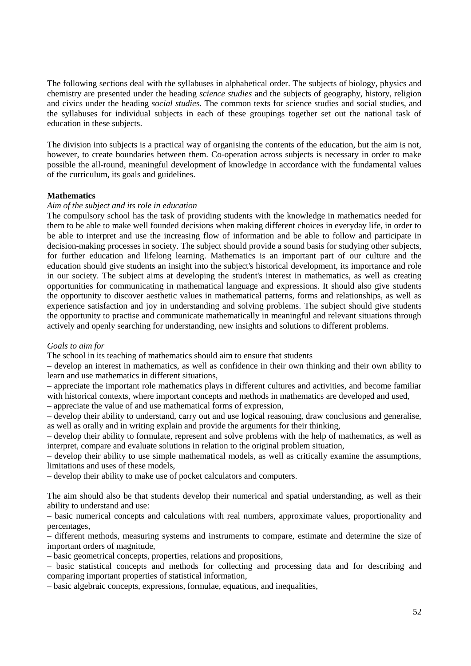The following sections deal with the syllabuses in alphabetical order. The subjects of biology, physics and chemistry are presented under the heading *science studies* and the subjects of geography, history, religion and civics under the heading *social studie*s. The common texts for science studies and social studies, and the syllabuses for individual subjects in each of these groupings together set out the national task of education in these subjects.

The division into subjects is a practical way of organising the contents of the education, but the aim is not, however, to create boundaries between them. Co-operation across subjects is necessary in order to make possible the all-round, meaningful development of knowledge in accordance with the fundamental values of the curriculum, its goals and guidelines.

### **Mathematics**

### *Aim of the subject and its role in education*

The compulsory school has the task of providing students with the knowledge in mathematics needed for them to be able to make well founded decisions when making different choices in everyday life, in order to be able to interpret and use the increasing flow of information and be able to follow and participate in decision-making processes in society. The subject should provide a sound basis for studying other subjects, for further education and lifelong learning. Mathematics is an important part of our culture and the education should give students an insight into the subject's historical development, its importance and role in our society. The subject aims at developing the student's interest in mathematics, as well as creating opportunities for communicating in mathematical language and expressions. It should also give students the opportunity to discover aesthetic values in mathematical patterns, forms and relationships, as well as experience satisfaction and joy in understanding and solving problems. The subject should give students the opportunity to practise and communicate mathematically in meaningful and relevant situations through actively and openly searching for understanding, new insights and solutions to different problems.

# *Goals to aim for*

The school in its teaching of mathematics should aim to ensure that students

– develop an interest in mathematics, as well as confidence in their own thinking and their own ability to learn and use mathematics in different situations,

– appreciate the important role mathematics plays in different cultures and activities, and become familiar with historical contexts, where important concepts and methods in mathematics are developed and used,

– appreciate the value of and use mathematical forms of expression,

– develop their ability to understand, carry out and use logical reasoning, draw conclusions and generalise, as well as orally and in writing explain and provide the arguments for their thinking,

– develop their ability to formulate, represent and solve problems with the help of mathematics, as well as interpret, compare and evaluate solutions in relation to the original problem situation,

– develop their ability to use simple mathematical models, as well as critically examine the assumptions, limitations and uses of these models,

– develop their ability to make use of pocket calculators and computers.

The aim should also be that students develop their numerical and spatial understanding, as well as their ability to understand and use:

– basic numerical concepts and calculations with real numbers, approximate values, proportionality and percentages,

– different methods, measuring systems and instruments to compare, estimate and determine the size of important orders of magnitude,

– basic geometrical concepts, properties, relations and propositions,

– basic statistical concepts and methods for collecting and processing data and for describing and comparing important properties of statistical information,

– basic algebraic concepts, expressions, formulae, equations, and inequalities,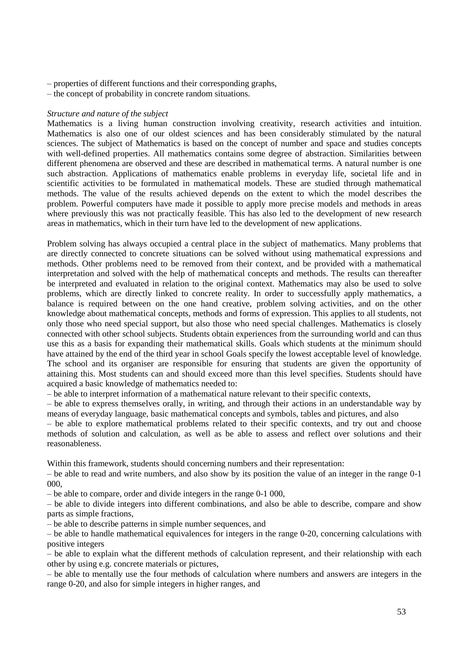– properties of different functions and their corresponding graphs,

– the concept of probability in concrete random situations.

#### *Structure and nature of the subject*

Mathematics is a living human construction involving creativity, research activities and intuition. Mathematics is also one of our oldest sciences and has been considerably stimulated by the natural sciences. The subject of Mathematics is based on the concept of number and space and studies concepts with well-defined properties. All mathematics contains some degree of abstraction. Similarities between different phenomena are observed and these are described in mathematical terms. A natural number is one such abstraction. Applications of mathematics enable problems in everyday life, societal life and in scientific activities to be formulated in mathematical models. These are studied through mathematical methods. The value of the results achieved depends on the extent to which the model describes the problem. Powerful computers have made it possible to apply more precise models and methods in areas where previously this was not practically feasible. This has also led to the development of new research areas in mathematics, which in their turn have led to the development of new applications.

Problem solving has always occupied a central place in the subject of mathematics. Many problems that are directly connected to concrete situations can be solved without using mathematical expressions and methods. Other problems need to be removed from their context, and be provided with a mathematical interpretation and solved with the help of mathematical concepts and methods. The results can thereafter be interpreted and evaluated in relation to the original context. Mathematics may also be used to solve problems, which are directly linked to concrete reality. In order to successfully apply mathematics, a balance is required between on the one hand creative, problem solving activities, and on the other knowledge about mathematical concepts, methods and forms of expression. This applies to all students, not only those who need special support, but also those who need special challenges. Mathematics is closely connected with other school subjects. Students obtain experiences from the surrounding world and can thus use this as a basis for expanding their mathematical skills. Goals which students at the minimum should have attained by the end of the third year in school Goals specify the lowest acceptable level of knowledge. The school and its organiser are responsible for ensuring that students are given the opportunity of attaining this. Most students can and should exceed more than this level specifies. Students should have acquired a basic knowledge of mathematics needed to:

– be able to interpret information of a mathematical nature relevant to their specific contexts,

– be able to express themselves orally, in writing, and through their actions in an understandable way by means of everyday language, basic mathematical concepts and symbols, tables and pictures, and also

– be able to explore mathematical problems related to their specific contexts, and try out and choose methods of solution and calculation, as well as be able to assess and reflect over solutions and their reasonableness.

Within this framework, students should concerning numbers and their representation:

– be able to read and write numbers, and also show by its position the value of an integer in the range 0-1 000,

– be able to compare, order and divide integers in the range 0-1 000,

– be able to divide integers into different combinations, and also be able to describe, compare and show parts as simple fractions,

– be able to describe patterns in simple number sequences, and

– be able to handle mathematical equivalences for integers in the range 0-20, concerning calculations with positive integers

– be able to explain what the different methods of calculation represent, and their relationship with each other by using e.g. concrete materials or pictures,

– be able to mentally use the four methods of calculation where numbers and answers are integers in the range 0-20, and also for simple integers in higher ranges, and